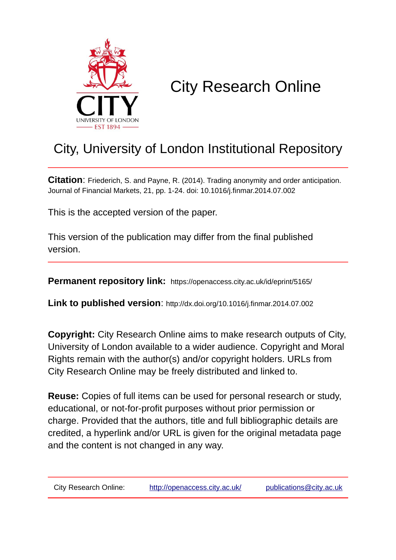

## City Research Online

## City, University of London Institutional Repository

**Citation**: Friederich, S. and Payne, R. (2014). Trading anonymity and order anticipation. Journal of Financial Markets, 21, pp. 1-24. doi: 10.1016/j.finmar.2014.07.002

This is the accepted version of the paper.

This version of the publication may differ from the final published version.

**Permanent repository link:** https://openaccess.city.ac.uk/id/eprint/5165/

**Link to published version**: http://dx.doi.org/10.1016/j.finmar.2014.07.002

**Copyright:** City Research Online aims to make research outputs of City, University of London available to a wider audience. Copyright and Moral Rights remain with the author(s) and/or copyright holders. URLs from City Research Online may be freely distributed and linked to.

**Reuse:** Copies of full items can be used for personal research or study, educational, or not-for-profit purposes without prior permission or charge. Provided that the authors, title and full bibliographic details are credited, a hyperlink and/or URL is given for the original metadata page and the content is not changed in any way.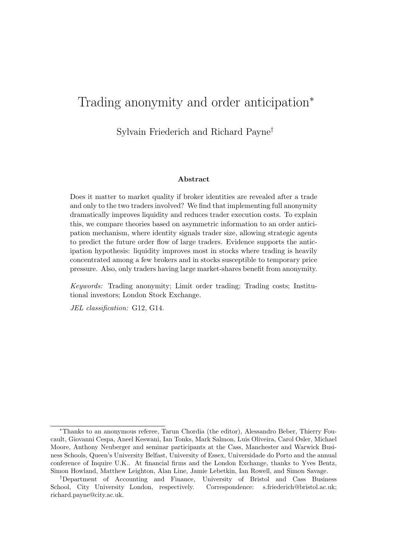## Trading anonymity and order anticipation<sup>∗</sup>

Sylvain Friederich and Richard Payne†

#### Abstract

Does it matter to market quality if broker identities are revealed after a trade and only to the two traders involved? We find that implementing full anonymity dramatically improves liquidity and reduces trader execution costs. To explain this, we compare theories based on asymmetric information to an order anticipation mechanism, where identity signals trader size, allowing strategic agents to predict the future order flow of large traders. Evidence supports the anticipation hypothesis: liquidity improves most in stocks where trading is heavily concentrated among a few brokers and in stocks susceptible to temporary price pressure. Also, only traders having large market-shares benefit from anonymity.

Keywords: Trading anonymity; Limit order trading; Trading costs; Institutional investors; London Stock Exchange.

JEL classification: G12, G14.

<sup>∗</sup>Thanks to an anonymous referee, Tarun Chordia (the editor), Alessandro Beber, Thierry Foucault, Giovanni Cespa, Aneel Keswani, Ian Tonks, Mark Salmon, Luis Oliveira, Carol Osler, Michael Moore, Anthony Neuberger and seminar participants at the Cass, Manchester and Warwick Business Schools, Queen's University Belfast, University of Essex, Universidade do Porto and the annual conference of Inquire U.K.. At financial firms and the London Exchange, thanks to Yves Bentz, Simon Howland, Matthew Leighton, Alan Line, Jamie Lebetkin, Ian Rowell, and Simon Savage.

<sup>†</sup>Department of Accounting and Finance, University of Bristol and Cass Business School, City University London, respectively. Correspondence: s.friederich@bristol.ac.uk; richard.payne@city.ac.uk.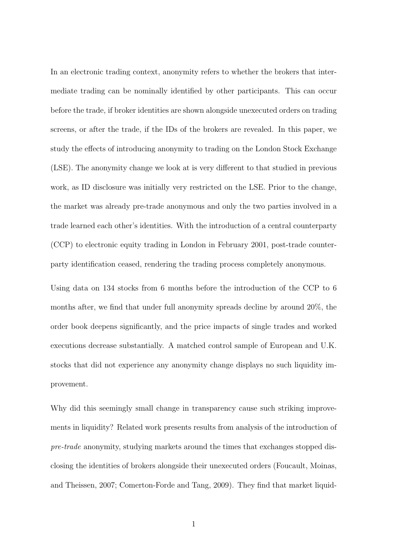In an electronic trading context, anonymity refers to whether the brokers that intermediate trading can be nominally identified by other participants. This can occur before the trade, if broker identities are shown alongside unexecuted orders on trading screens, or after the trade, if the IDs of the brokers are revealed. In this paper, we study the effects of introducing anonymity to trading on the London Stock Exchange (LSE). The anonymity change we look at is very different to that studied in previous work, as ID disclosure was initially very restricted on the LSE. Prior to the change, the market was already pre-trade anonymous and only the two parties involved in a trade learned each other's identities. With the introduction of a central counterparty (CCP) to electronic equity trading in London in February 2001, post-trade counterparty identification ceased, rendering the trading process completely anonymous.

Using data on 134 stocks from 6 months before the introduction of the CCP to 6 months after, we find that under full anonymity spreads decline by around 20%, the order book deepens significantly, and the price impacts of single trades and worked executions decrease substantially. A matched control sample of European and U.K. stocks that did not experience any anonymity change displays no such liquidity improvement.

Why did this seemingly small change in transparency cause such striking improvements in liquidity? Related work presents results from analysis of the introduction of pre-trade anonymity, studying markets around the times that exchanges stopped disclosing the identities of brokers alongside their unexecuted orders (Foucault, Moinas, and Theissen, 2007; Comerton-Forde and Tang, 2009). They find that market liquid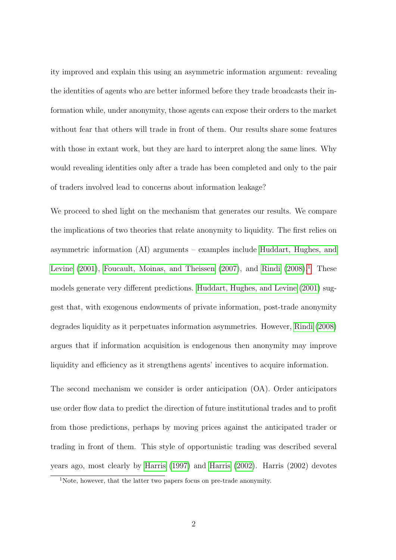ity improved and explain this using an asymmetric information argument: revealing the identities of agents who are better informed before they trade broadcasts their information while, under anonymity, those agents can expose their orders to the market without fear that others will trade in front of them. Our results share some features with those in extant work, but they are hard to interpret along the same lines. Why would revealing identities only after a trade has been completed and only to the pair of traders involved lead to concerns about information leakage?

We proceed to shed light on the mechanism that generates our results. We compare the implications of two theories that relate anonymity to liquidity. The first relies on asymmetric information (AI) arguments – examples include [Huddart, Hughes, and](#page-42-0) [Levine](#page-42-0)  $(2001)$ , [Foucault, Moinas, and Theissen](#page-41-0)  $(2007)$ , and [Rindi](#page-42-1)  $(2008)^{1}$  $(2008)^{1}$  $(2008)^{1}$  $(2008)^{1}$ . These models generate very different predictions. [Huddart, Hughes, and Levine](#page-42-0) [\(2001\)](#page-42-0) suggest that, with exogenous endowments of private information, post-trade anonymity degrades liquidity as it perpetuates information asymmetries. However, [Rindi](#page-42-1) [\(2008\)](#page-42-1) argues that if information acquisition is endogenous then anonymity may improve liquidity and efficiency as it strengthens agents' incentives to acquire information.

The second mechanism we consider is order anticipation (OA). Order anticipators use order flow data to predict the direction of future institutional trades and to profit from those predictions, perhaps by moving prices against the anticipated trader or trading in front of them. This style of opportunistic trading was described several years ago, most clearly by [Harris](#page-41-1) [\(1997\)](#page-41-1) and [Harris](#page-41-2) [\(2002\)](#page-41-2). Harris (2002) devotes

<span id="page-3-0"></span><sup>1</sup>Note, however, that the latter two papers focus on pre-trade anonymity.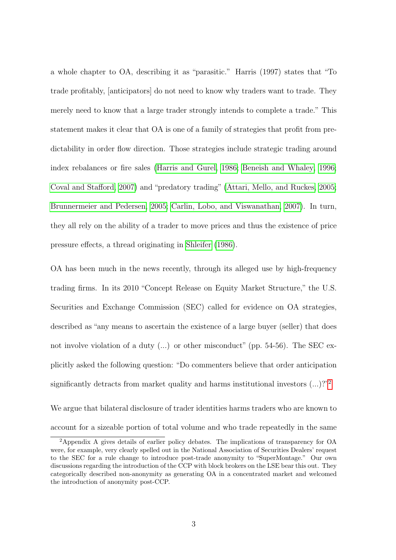a whole chapter to OA, describing it as "parasitic." Harris (1997) states that "To trade profitably, [anticipators] do not need to know why traders want to trade. They merely need to know that a large trader strongly intends to complete a trade." This statement makes it clear that OA is one of a family of strategies that profit from predictability in order flow direction. Those strategies include strategic trading around index rebalances or fire sales [\(Harris and Gurel, 1986;](#page-42-2) [Beneish and Whaley, 1996;](#page-40-0) [Coval and Stafford, 2007\)](#page-41-3) and "predatory trading" [\(Attari, Mello, and Ruckes, 2005;](#page-40-1) [Brunnermeier and Pedersen, 2005;](#page-40-2) [Carlin, Lobo, and Viswanathan, 2007\)](#page-40-3). In turn, they all rely on the ability of a trader to move prices and thus the existence of price pressure effects, a thread originating in [Shleifer](#page-43-0) [\(1986\)](#page-43-0).

OA has been much in the news recently, through its alleged use by high-frequency trading firms. In its 2010 "Concept Release on Equity Market Structure," the U.S. Securities and Exchange Commission (SEC) called for evidence on OA strategies, described as "any means to ascertain the existence of a large buyer (seller) that does not involve violation of a duty (...) or other misconduct" (pp. 54-56). The SEC explicitly asked the following question: "Do commenters believe that order anticipation significantly detracts from market quality and harms institutional investors  $(...)$ ?"<sup>[2](#page-4-0)</sup>

We argue that bilateral disclosure of trader identities harms traders who are known to account for a sizeable portion of total volume and who trade repeatedly in the same

<span id="page-4-0"></span><sup>2</sup>Appendix A gives details of earlier policy debates. The implications of transparency for OA were, for example, very clearly spelled out in the National Association of Securities Dealers' request to the SEC for a rule change to introduce post-trade anonymity to "SuperMontage." Our own discussions regarding the introduction of the CCP with block brokers on the LSE bear this out. They categorically described non-anonymity as generating OA in a concentrated market and welcomed the introduction of anonymity post-CCP.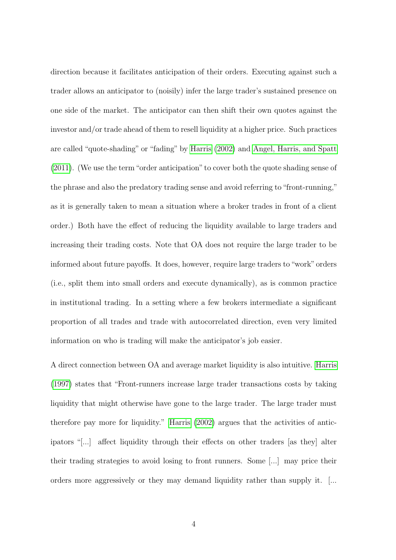direction because it facilitates anticipation of their orders. Executing against such a trader allows an anticipator to (noisily) infer the large trader's sustained presence on one side of the market. The anticipator can then shift their own quotes against the investor and/or trade ahead of them to resell liquidity at a higher price. Such practices are called "quote-shading" or "fading" by [Harris](#page-41-2) [\(2002\)](#page-41-2) and [Angel, Harris, and Spatt](#page-40-4) [\(2011\)](#page-40-4). (We use the term"order anticipation" to cover both the quote shading sense of the phrase and also the predatory trading sense and avoid referring to "front-running," as it is generally taken to mean a situation where a broker trades in front of a client order.) Both have the effect of reducing the liquidity available to large traders and increasing their trading costs. Note that OA does not require the large trader to be informed about future payoffs. It does, however, require large traders to "work" orders (i.e., split them into small orders and execute dynamically), as is common practice in institutional trading. In a setting where a few brokers intermediate a significant proportion of all trades and trade with autocorrelated direction, even very limited information on who is trading will make the anticipator's job easier.

A direct connection between OA and average market liquidity is also intuitive. [Harris](#page-41-1) [\(1997\)](#page-41-1) states that "Front-runners increase large trader transactions costs by taking liquidity that might otherwise have gone to the large trader. The large trader must therefore pay more for liquidity." [Harris](#page-41-2) [\(2002\)](#page-41-2) argues that the activities of anticipators "[...] affect liquidity through their effects on other traders [as they] alter their trading strategies to avoid losing to front runners. Some [...] may price their orders more aggressively or they may demand liquidity rather than supply it. [...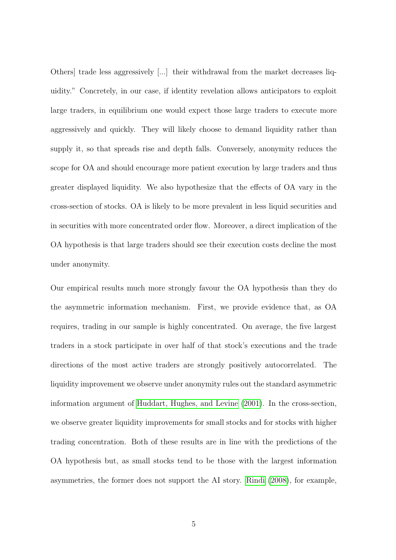Others] trade less aggressively [...] their withdrawal from the market decreases liquidity." Concretely, in our case, if identity revelation allows anticipators to exploit large traders, in equilibrium one would expect those large traders to execute more aggressively and quickly. They will likely choose to demand liquidity rather than supply it, so that spreads rise and depth falls. Conversely, anonymity reduces the scope for OA and should encourage more patient execution by large traders and thus greater displayed liquidity. We also hypothesize that the effects of OA vary in the cross-section of stocks. OA is likely to be more prevalent in less liquid securities and in securities with more concentrated order flow. Moreover, a direct implication of the OA hypothesis is that large traders should see their execution costs decline the most under anonymity.

Our empirical results much more strongly favour the OA hypothesis than they do the asymmetric information mechanism. First, we provide evidence that, as OA requires, trading in our sample is highly concentrated. On average, the five largest traders in a stock participate in over half of that stock's executions and the trade directions of the most active traders are strongly positively autocorrelated. The liquidity improvement we observe under anonymity rules out the standard asymmetric information argument of [Huddart, Hughes, and Levine](#page-42-0) [\(2001\)](#page-42-0). In the cross-section, we observe greater liquidity improvements for small stocks and for stocks with higher trading concentration. Both of these results are in line with the predictions of the OA hypothesis but, as small stocks tend to be those with the largest information asymmetries, the former does not support the AI story. [Rindi](#page-42-1) [\(2008\)](#page-42-1), for example,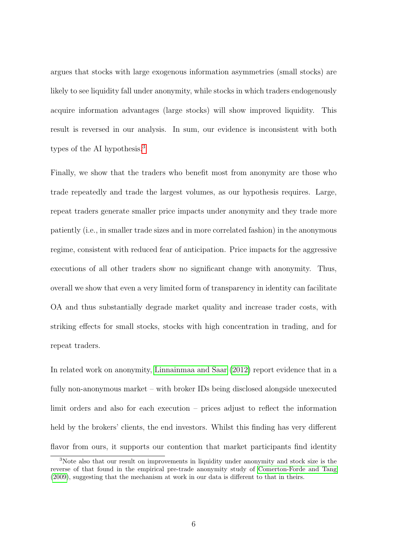argues that stocks with large exogenous information asymmetries (small stocks) are likely to see liquidity fall under anonymity, while stocks in which traders endogenously acquire information advantages (large stocks) will show improved liquidity. This result is reversed in our analysis. In sum, our evidence is inconsistent with both types of the AI hypothesis.<sup>[3](#page-7-0)</sup>

Finally, we show that the traders who benefit most from anonymity are those who trade repeatedly and trade the largest volumes, as our hypothesis requires. Large, repeat traders generate smaller price impacts under anonymity and they trade more patiently (i.e., in smaller trade sizes and in more correlated fashion) in the anonymous regime, consistent with reduced fear of anticipation. Price impacts for the aggressive executions of all other traders show no significant change with anonymity. Thus, overall we show that even a very limited form of transparency in identity can facilitate OA and thus substantially degrade market quality and increase trader costs, with striking effects for small stocks, stocks with high concentration in trading, and for repeat traders.

In related work on anonymity, [Linnainmaa and Saar](#page-42-3) [\(2012\)](#page-42-3) report evidence that in a fully non-anonymous market – with broker IDs being disclosed alongside unexecuted limit orders and also for each execution – prices adjust to reflect the information held by the brokers' clients, the end investors. Whilst this finding has very different flavor from ours, it supports our contention that market participants find identity

<span id="page-7-0"></span><sup>3</sup>Note also that our result on improvements in liquidity under anonymity and stock size is the reverse of that found in the empirical pre-trade anonymity study of [Comerton-Forde and Tang](#page-41-4) [\(2009\)](#page-41-4), suggesting that the mechanism at work in our data is different to that in theirs.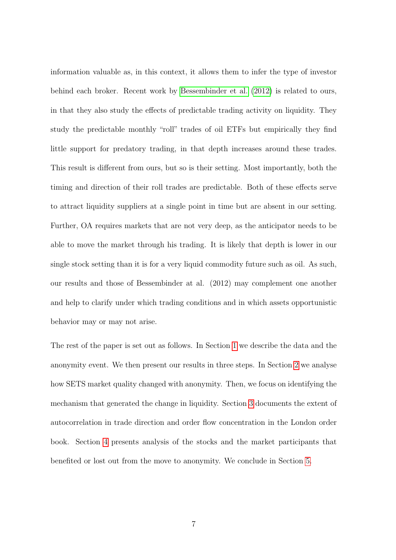information valuable as, in this context, it allows them to infer the type of investor behind each broker. Recent work by [Bessembinder et al.](#page-40-5) [\(2012\)](#page-40-5) is related to ours, in that they also study the effects of predictable trading activity on liquidity. They study the predictable monthly "roll" trades of oil ETFs but empirically they find little support for predatory trading, in that depth increases around these trades. This result is different from ours, but so is their setting. Most importantly, both the timing and direction of their roll trades are predictable. Both of these effects serve to attract liquidity suppliers at a single point in time but are absent in our setting. Further, OA requires markets that are not very deep, as the anticipator needs to be able to move the market through his trading. It is likely that depth is lower in our single stock setting than it is for a very liquid commodity future such as oil. As such, our results and those of Bessembinder at al. (2012) may complement one another and help to clarify under which trading conditions and in which assets opportunistic behavior may or may not arise.

The rest of the paper is set out as follows. In Section [1](#page-9-0) we describe the data and the anonymity event. We then present our results in three steps. In Section [2](#page-14-0) we analyse how SETS market quality changed with anonymity. Then, we focus on identifying the mechanism that generated the change in liquidity. Section [3](#page-26-0) documents the extent of autocorrelation in trade direction and order flow concentration in the London order book. Section [4](#page-29-0) presents analysis of the stocks and the market participants that benefited or lost out from the move to anonymity. We conclude in Section [5.](#page-36-0)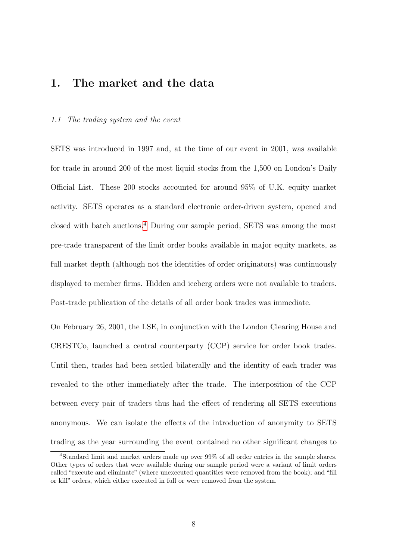### <span id="page-9-0"></span>1. The market and the data

#### <span id="page-9-2"></span>1.1 The trading system and the event

SETS was introduced in 1997 and, at the time of our event in 2001, was available for trade in around 200 of the most liquid stocks from the 1,500 on London's Daily Official List. These 200 stocks accounted for around 95% of U.K. equity market activity. SETS operates as a standard electronic order-driven system, opened and closed with batch auctions.[4](#page-9-1) During our sample period, SETS was among the most pre-trade transparent of the limit order books available in major equity markets, as full market depth (although not the identities of order originators) was continuously displayed to member firms. Hidden and iceberg orders were not available to traders. Post-trade publication of the details of all order book trades was immediate.

On February 26, 2001, the LSE, in conjunction with the London Clearing House and CRESTCo, launched a central counterparty (CCP) service for order book trades. Until then, trades had been settled bilaterally and the identity of each trader was revealed to the other immediately after the trade. The interposition of the CCP between every pair of traders thus had the effect of rendering all SETS executions anonymous. We can isolate the effects of the introduction of anonymity to SETS trading as the year surrounding the event contained no other significant changes to

<span id="page-9-1"></span><sup>4</sup>Standard limit and market orders made up over 99% of all order entries in the sample shares. Other types of orders that were available during our sample period were a variant of limit orders called "execute and eliminate" (where unexecuted quantities were removed from the book); and "fill or kill" orders, which either executed in full or were removed from the system.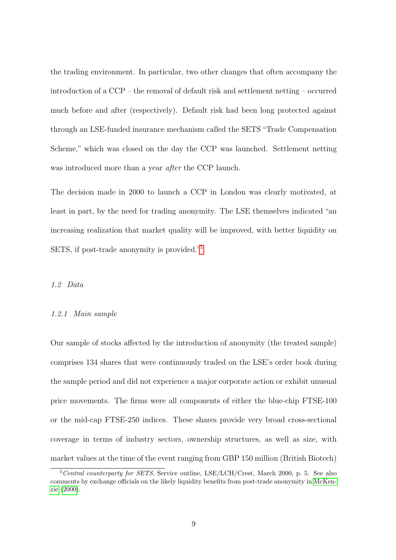the trading environment. In particular, two other changes that often accompany the introduction of a CCP – the removal of default risk and settlement netting – occurred much before and after (respectively). Default risk had been long protected against through an LSE-funded insurance mechanism called the SETS "Trade Compensation Scheme," which was closed on the day the CCP was launched. Settlement netting was introduced more than a year *after* the CCP launch.

The decision made in 2000 to launch a CCP in London was clearly motivated, at least in part, by the need for trading anonymity. The LSE themselves indicated "an increasing realization that market quality will be improved, with better liquidity on SETS, if post-trade anonymity is provided."[5](#page-10-0)

#### 1.2 Data

#### <span id="page-10-1"></span>1.2.1 Main sample

Our sample of stocks affected by the introduction of anonymity (the treated sample) comprises 134 shares that were continuously traded on the LSE's order book during the sample period and did not experience a major corporate action or exhibit unusual price movements. The firms were all components of either the blue-chip FTSE-100 or the mid-cap FTSE-250 indices. These shares provide very broad cross-sectional coverage in terms of industry sectors, ownership structures, as well as size, with market values at the time of the event ranging from GBP 150 million (British Biotech)

<span id="page-10-0"></span> $5$ Central counterparty for SETS, Service outline, LSE/LCH/Crest, March 2000, p. 5. See also comments by exchange officials on the likely liquidity benefits from post-trade anonymity in [McKen](#page-42-4)[zie](#page-42-4) [\(2000\)](#page-42-4).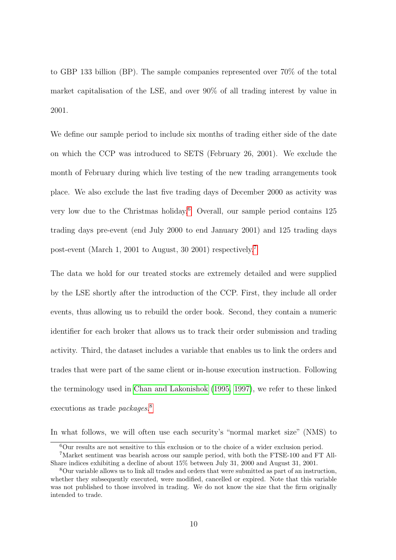to GBP 133 billion (BP). The sample companies represented over 70% of the total market capitalisation of the LSE, and over 90% of all trading interest by value in 2001.

We define our sample period to include six months of trading either side of the date on which the CCP was introduced to SETS (February 26, 2001). We exclude the month of February during which live testing of the new trading arrangements took place. We also exclude the last five trading days of December 2000 as activity was very low due to the Christmas holiday.[6](#page-11-0) Overall, our sample period contains 125 trading days pre-event (end July 2000 to end January 2001) and 125 trading days post-event (March 1, 2001 to August, 30 2001) respectively.[7](#page-11-1)

The data we hold for our treated stocks are extremely detailed and were supplied by the LSE shortly after the introduction of the CCP. First, they include all order events, thus allowing us to rebuild the order book. Second, they contain a numeric identifier for each broker that allows us to track their order submission and trading activity. Third, the dataset includes a variable that enables us to link the orders and trades that were part of the same client or in-house execution instruction. Following the terminology used in [Chan and Lakonishok](#page-40-6) [\(1995,](#page-40-6) [1997\)](#page-40-7), we refer to these linked executions as trade packages.<sup>[8](#page-11-2)</sup>

In what follows, we will often use each security's "normal market size" (NMS) to

<span id="page-11-1"></span><span id="page-11-0"></span> ${}^{6}$ Our results are not sensitive to this exclusion or to the choice of a wider exclusion period.

<sup>7</sup>Market sentiment was bearish across our sample period, with both the FTSE-100 and FT All-Share indices exhibiting a decline of about 15% between July 31, 2000 and August 31, 2001.

<span id="page-11-2"></span><sup>8</sup>Our variable allows us to link all trades and orders that were submitted as part of an instruction, whether they subsequently executed, were modified, cancelled or expired. Note that this variable was not published to those involved in trading. We do not know the size that the firm originally intended to trade.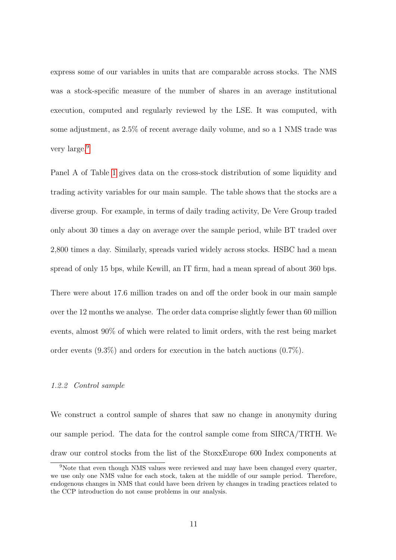express some of our variables in units that are comparable across stocks. The NMS was a stock-specific measure of the number of shares in an average institutional execution, computed and regularly reviewed by the LSE. It was computed, with some adjustment, as 2.5% of recent average daily volume, and so a 1 NMS trade was very large.<sup>[9](#page-12-0)</sup>

Panel A of Table [1](#page-44-0) gives data on the cross-stock distribution of some liquidity and trading activity variables for our main sample. The table shows that the stocks are a diverse group. For example, in terms of daily trading activity, De Vere Group traded only about 30 times a day on average over the sample period, while BT traded over 2,800 times a day. Similarly, spreads varied widely across stocks. HSBC had a mean spread of only 15 bps, while Kewill, an IT firm, had a mean spread of about 360 bps.

There were about 17.6 million trades on and off the order book in our main sample over the 12 months we analyse. The order data comprise slightly fewer than 60 million events, almost 90% of which were related to limit orders, with the rest being market order events  $(9.3\%)$  and orders for execution in the batch auctions  $(0.7\%).$ 

#### 1.2.2 Control sample

We construct a control sample of shares that saw no change in anonymity during our sample period. The data for the control sample come from SIRCA/TRTH. We draw our control stocks from the list of the StoxxEurope 600 Index components at

<span id="page-12-0"></span><sup>9</sup>Note that even though NMS values were reviewed and may have been changed every quarter, we use only one NMS value for each stock, taken at the middle of our sample period. Therefore, endogenous changes in NMS that could have been driven by changes in trading practices related to the CCP introduction do not cause problems in our analysis.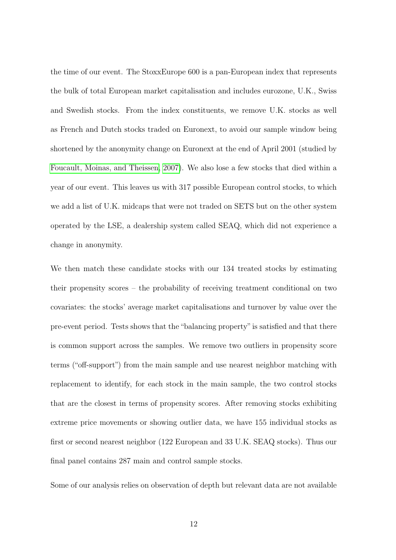the time of our event. The StoxxEurope 600 is a pan-European index that represents the bulk of total European market capitalisation and includes eurozone, U.K., Swiss and Swedish stocks. From the index constituents, we remove U.K. stocks as well as French and Dutch stocks traded on Euronext, to avoid our sample window being shortened by the anonymity change on Euronext at the end of April 2001 (studied by [Foucault, Moinas, and Theissen, 2007\)](#page-41-0). We also lose a few stocks that died within a year of our event. This leaves us with 317 possible European control stocks, to which we add a list of U.K. midcaps that were not traded on SETS but on the other system operated by the LSE, a dealership system called SEAQ, which did not experience a change in anonymity.

We then match these candidate stocks with our 134 treated stocks by estimating their propensity scores – the probability of receiving treatment conditional on two covariates: the stocks' average market capitalisations and turnover by value over the pre-event period. Tests shows that the "balancing property"is satisfied and that there is common support across the samples. We remove two outliers in propensity score terms ("off-support") from the main sample and use nearest neighbor matching with replacement to identify, for each stock in the main sample, the two control stocks that are the closest in terms of propensity scores. After removing stocks exhibiting extreme price movements or showing outlier data, we have 155 individual stocks as first or second nearest neighbor (122 European and 33 U.K. SEAQ stocks). Thus our final panel contains 287 main and control sample stocks.

Some of our analysis relies on observation of depth but relevant data are not available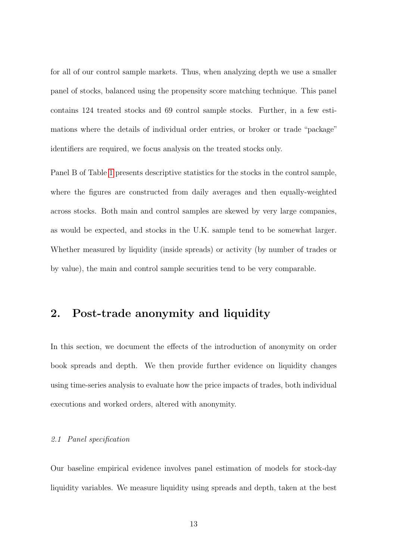for all of our control sample markets. Thus, when analyzing depth we use a smaller panel of stocks, balanced using the propensity score matching technique. This panel contains 124 treated stocks and 69 control sample stocks. Further, in a few estimations where the details of individual order entries, or broker or trade "package" identifiers are required, we focus analysis on the treated stocks only.

Panel B of Table [1](#page-44-0) presents descriptive statistics for the stocks in the control sample, where the figures are constructed from daily averages and then equally-weighted across stocks. Both main and control samples are skewed by very large companies, as would be expected, and stocks in the U.K. sample tend to be somewhat larger. Whether measured by liquidity (inside spreads) or activity (by number of trades or by value), the main and control sample securities tend to be very comparable.

### <span id="page-14-0"></span>2. Post-trade anonymity and liquidity

In this section, we document the effects of the introduction of anonymity on order book spreads and depth. We then provide further evidence on liquidity changes using time-series analysis to evaluate how the price impacts of trades, both individual executions and worked orders, altered with anonymity.

#### <span id="page-14-1"></span>2.1 Panel specification

Our baseline empirical evidence involves panel estimation of models for stock-day liquidity variables. We measure liquidity using spreads and depth, taken at the best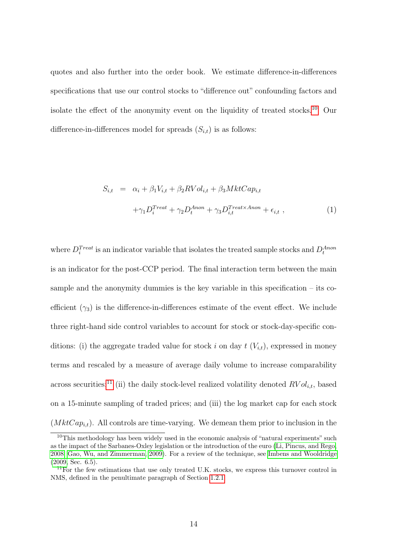quotes and also further into the order book. We estimate difference-in-differences specifications that use our control stocks to "difference out" confounding factors and isolate the effect of the anonymity event on the liquidity of treated stocks.[10](#page-15-0) Our difference-in-differences model for spreads  $(S_{i,t})$  is as follows:

<span id="page-15-2"></span>
$$
S_{i,t} = \alpha_i + \beta_1 V_{i,t} + \beta_2 RVol_{i,t} + \beta_3 MktCap_{i,t}
$$

$$
+ \gamma_1 D_i^{Treat} + \gamma_2 D_t^{Anon} + \gamma_3 D_{i,t}^{Treat \times Anon} + \epsilon_{i,t} , \qquad (1)
$$

where  $D_i^{Treat}$  is an indicator variable that isolates the treated sample stocks and  $D_t^{Anon}$ is an indicator for the post-CCP period. The final interaction term between the main sample and the anonymity dummies is the key variable in this specification  $-$  its coefficient  $(\gamma_3)$  is the difference-in-differences estimate of the event effect. We include three right-hand side control variables to account for stock or stock-day-specific conditions: (i) the aggregate traded value for stock i on day  $t$   $(V_{i,t})$ , expressed in money terms and rescaled by a measure of average daily volume to increase comparability across securities;<sup>[11](#page-15-1)</sup> (ii) the daily stock-level realized volatility denoted  $RVol_{i,t}$ , based on a 15-minute sampling of traded prices; and (iii) the log market cap for each stock  $(MktCap_{i,t})$ . All controls are time-varying. We demean them prior to inclusion in the

<span id="page-15-0"></span> $10$ This methodology has been widely used in the economic analysis of "natural experiments" such as the impact of the Sarbanes-Oxley legislation or the introduction of the euro [\(Li, Pincus, and Rego,](#page-42-5) [2008;](#page-42-5) [Gao, Wu, and Zimmerman, 2009\)](#page-41-5). For a review of the technique, see [Imbens and Wooldridge](#page-42-6) [\(2009,](#page-42-6) Sec. 6.5).

<span id="page-15-1"></span><sup>&</sup>lt;sup>11</sup>For the few estimations that use only treated U.K. stocks, we express this turnover control in NMS, defined in the penultimate paragraph of Section [1.2.1.](#page-10-1)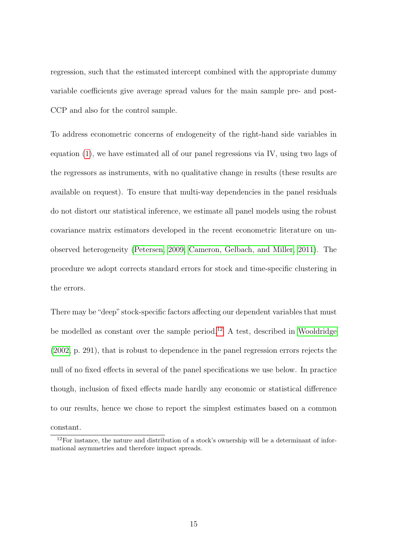regression, such that the estimated intercept combined with the appropriate dummy variable coefficients give average spread values for the main sample pre- and post-CCP and also for the control sample.

To address econometric concerns of endogeneity of the right-hand side variables in equation [\(1\)](#page-15-2), we have estimated all of our panel regressions via IV, using two lags of the regressors as instruments, with no qualitative change in results (these results are available on request). To ensure that multi-way dependencies in the panel residuals do not distort our statistical inference, we estimate all panel models using the robust covariance matrix estimators developed in the recent econometric literature on unobserved heterogeneity [\(Petersen, 2009;](#page-42-7) [Cameron, Gelbach, and Miller, 2011\)](#page-40-8). The procedure we adopt corrects standard errors for stock and time-specific clustering in the errors.

There may be"deep" stock-specific factors affecting our dependent variables that must be modelled as constant over the sample period.[12](#page-16-0) A test, described in [Wooldridge](#page-43-1) [\(2002,](#page-43-1) p. 291), that is robust to dependence in the panel regression errors rejects the null of no fixed effects in several of the panel specifications we use below. In practice though, inclusion of fixed effects made hardly any economic or statistical difference to our results, hence we chose to report the simplest estimates based on a common constant.

<span id="page-16-0"></span><sup>&</sup>lt;sup>12</sup>For instance, the nature and distribution of a stock's ownership will be a determinant of informational asymmetries and therefore impact spreads.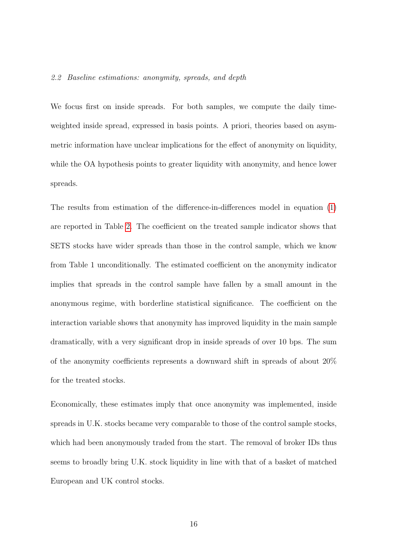#### 2.2 Baseline estimations: anonymity, spreads, and depth

We focus first on inside spreads. For both samples, we compute the daily timeweighted inside spread, expressed in basis points. A priori, theories based on asymmetric information have unclear implications for the effect of anonymity on liquidity, while the OA hypothesis points to greater liquidity with anonymity, and hence lower spreads.

The results from estimation of the difference-in-differences model in equation [\(1\)](#page-15-2) are reported in Table [2.](#page-45-0) The coefficient on the treated sample indicator shows that SETS stocks have wider spreads than those in the control sample, which we know from Table 1 unconditionally. The estimated coefficient on the anonymity indicator implies that spreads in the control sample have fallen by a small amount in the anonymous regime, with borderline statistical significance. The coefficient on the interaction variable shows that anonymity has improved liquidity in the main sample dramatically, with a very significant drop in inside spreads of over 10 bps. The sum of the anonymity coefficients represents a downward shift in spreads of about 20% for the treated stocks.

Economically, these estimates imply that once anonymity was implemented, inside spreads in U.K. stocks became very comparable to those of the control sample stocks, which had been anonymously traded from the start. The removal of broker IDs thus seems to broadly bring U.K. stock liquidity in line with that of a basket of matched European and UK control stocks.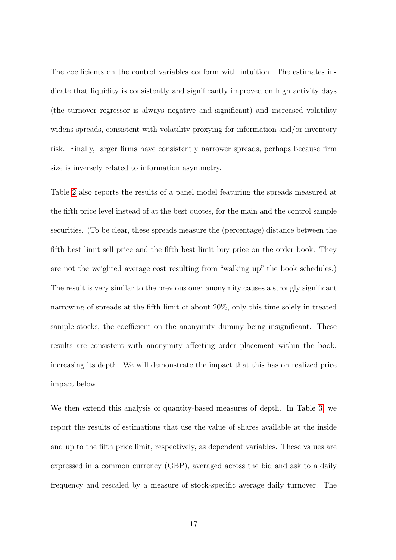The coefficients on the control variables conform with intuition. The estimates indicate that liquidity is consistently and significantly improved on high activity days (the turnover regressor is always negative and significant) and increased volatility widens spreads, consistent with volatility proxying for information and/or inventory risk. Finally, larger firms have consistently narrower spreads, perhaps because firm size is inversely related to information asymmetry.

Table [2](#page-45-0) also reports the results of a panel model featuring the spreads measured at the fifth price level instead of at the best quotes, for the main and the control sample securities. (To be clear, these spreads measure the (percentage) distance between the fifth best limit sell price and the fifth best limit buy price on the order book. They are not the weighted average cost resulting from "walking up" the book schedules.) The result is very similar to the previous one: anonymity causes a strongly significant narrowing of spreads at the fifth limit of about 20%, only this time solely in treated sample stocks, the coefficient on the anonymity dummy being insignificant. These results are consistent with anonymity affecting order placement within the book, increasing its depth. We will demonstrate the impact that this has on realized price impact below.

We then extend this analysis of quantity-based measures of depth. In Table [3,](#page-46-0) we report the results of estimations that use the value of shares available at the inside and up to the fifth price limit, respectively, as dependent variables. These values are expressed in a common currency (GBP), averaged across the bid and ask to a daily frequency and rescaled by a measure of stock-specific average daily turnover. The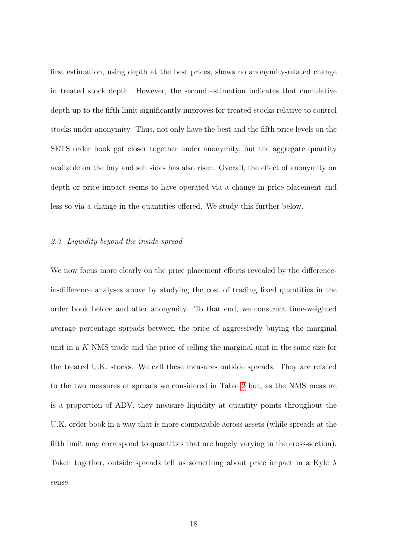first estimation, using depth at the best prices, shows no anonymity-related change in treated stock depth. However, the second estimation indicates that cumulative depth up to the fifth limit significantly improves for treated stocks relative to control stocks under anonymity. Thus, not only have the best and the fifth price levels on the SETS order book got closer together under anonymity, but the aggregate quantity available on the buy and sell sides has also risen. Overall, the effect of anonymity on depth or price impact seems to have operated via a change in price placement and less so via a change in the quantities offered. We study this further below.

#### 2.3 Liquidity beyond the inside spread

We now focus more clearly on the price placement effects revealed by the differencein-difference analyses above by studying the cost of trading fixed quantities in the order book before and after anonymity. To that end, we construct time-weighted average percentage spreads between the price of aggressively buying the marginal unit in a K NMS trade and the price of selling the marginal unit in the same size for the treated U.K. stocks. We call these measures outside spreads. They are related to the two measures of spreads we considered in Table [2](#page-45-0) but, as the NMS measure is a proportion of ADV, they measure liquidity at quantity points throughout the U.K. order book in a way that is more comparable across assets (while spreads at the fifth limit may correspond to quantities that are hugely varying in the cross-section). Taken together, outside spreads tell us something about price impact in a Kyle  $\lambda$ sense.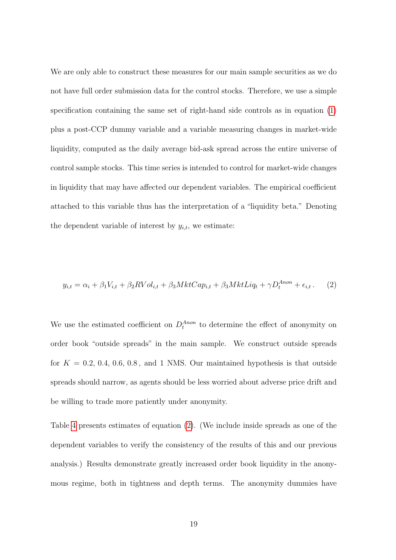We are only able to construct these measures for our main sample securities as we do not have full order submission data for the control stocks. Therefore, we use a simple specification containing the same set of right-hand side controls as in equation [\(1\)](#page-15-2) plus a post-CCP dummy variable and a variable measuring changes in market-wide liquidity, computed as the daily average bid-ask spread across the entire universe of control sample stocks. This time series is intended to control for market-wide changes in liquidity that may have affected our dependent variables. The empirical coefficient attached to this variable thus has the interpretation of a "liquidity beta." Denoting the dependent variable of interest by  $y_{i,t}$ , we estimate:

<span id="page-20-0"></span>
$$
y_{i,t} = \alpha_i + \beta_1 V_{i,t} + \beta_2 RVol_{i,t} + \beta_3 MktCap_{i,t} + \beta_3 MktLiq_t + \gamma D_t^{Anon} + \epsilon_{i,t}.
$$
 (2)

We use the estimated coefficient on  $D_t^{Anon}$  to determine the effect of anonymity on order book "outside spreads" in the main sample. We construct outside spreads for  $K = 0.2, 0.4, 0.6, 0.8,$  and 1 NMS. Our maintained hypothesis is that outside spreads should narrow, as agents should be less worried about adverse price drift and be willing to trade more patiently under anonymity.

Table [4](#page-47-0) presents estimates of equation [\(2\)](#page-20-0). (We include inside spreads as one of the dependent variables to verify the consistency of the results of this and our previous analysis.) Results demonstrate greatly increased order book liquidity in the anonymous regime, both in tightness and depth terms. The anonymity dummies have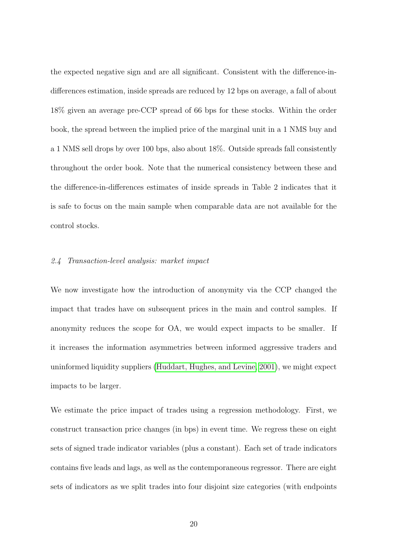the expected negative sign and are all significant. Consistent with the difference-indifferences estimation, inside spreads are reduced by 12 bps on average, a fall of about 18% given an average pre-CCP spread of 66 bps for these stocks. Within the order book, the spread between the implied price of the marginal unit in a 1 NMS buy and a 1 NMS sell drops by over 100 bps, also about 18%. Outside spreads fall consistently throughout the order book. Note that the numerical consistency between these and the difference-in-differences estimates of inside spreads in Table 2 indicates that it is safe to focus on the main sample when comparable data are not available for the control stocks.

#### <span id="page-21-0"></span>2.4 Transaction-level analysis: market impact

We now investigate how the introduction of anonymity via the CCP changed the impact that trades have on subsequent prices in the main and control samples. If anonymity reduces the scope for OA, we would expect impacts to be smaller. If it increases the information asymmetries between informed aggressive traders and uninformed liquidity suppliers [\(Huddart, Hughes, and Levine, 2001\)](#page-42-0), we might expect impacts to be larger.

We estimate the price impact of trades using a regression methodology. First, we construct transaction price changes (in bps) in event time. We regress these on eight sets of signed trade indicator variables (plus a constant). Each set of trade indicators contains five leads and lags, as well as the contemporaneous regressor. There are eight sets of indicators as we split trades into four disjoint size categories (with endpoints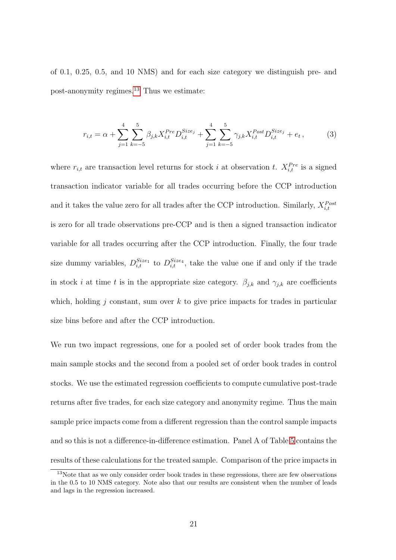of 0.1, 0.25, 0.5, and 10 NMS) and for each size category we distinguish pre- and post-anonymity regimes.[13](#page-22-0) Thus we estimate:

$$
r_{i,t} = \alpha + \sum_{j=1}^{4} \sum_{k=-5}^{5} \beta_{j,k} X_{i,t}^{Pre} D_{i,t}^{Size_j} + \sum_{j=1}^{4} \sum_{k=-5}^{5} \gamma_{j,k} X_{i,t}^{Post} D_{i,t}^{Size_j} + e_t, \qquad (3)
$$

where  $r_{i,t}$  are transaction level returns for stock i at observation t.  $X_{i,t}^{Pre}$  is a signed transaction indicator variable for all trades occurring before the CCP introduction and it takes the value zero for all trades after the CCP introduction. Similarly,  $X_{i,t}^{Post}$ is zero for all trade observations pre-CCP and is then a signed transaction indicator variable for all trades occurring after the CCP introduction. Finally, the four trade size dummy variables,  $D_{i,t}^{Size_1}$  to  $D_{i,t}^{Size_4}$ , take the value one if and only if the trade in stock *i* at time t is in the appropriate size category.  $\beta_{j,k}$  and  $\gamma_{j,k}$  are coefficients which, holding j constant, sum over  $k$  to give price impacts for trades in particular size bins before and after the CCP introduction.

We run two impact regressions, one for a pooled set of order book trades from the main sample stocks and the second from a pooled set of order book trades in control stocks. We use the estimated regression coefficients to compute cumulative post-trade returns after five trades, for each size category and anonymity regime. Thus the main sample price impacts come from a different regression than the control sample impacts and so this is not a difference-in-difference estimation. Panel A of Table [5](#page-48-0) contains the results of these calculations for the treated sample. Comparison of the price impacts in

<span id="page-22-0"></span><sup>&</sup>lt;sup>13</sup>Note that as we only consider order book trades in these regressions, there are few observations in the 0.5 to 10 NMS category. Note also that our results are consistent when the number of leads and lags in the regression increased.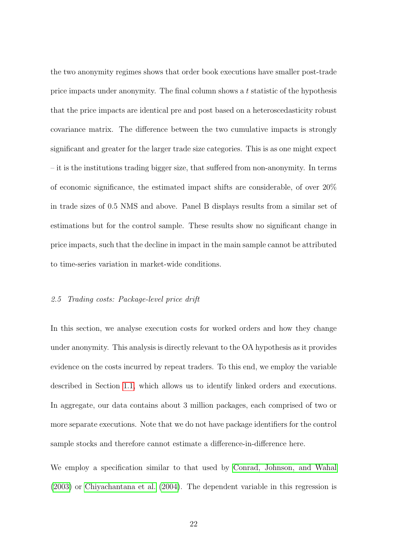the two anonymity regimes shows that order book executions have smaller post-trade price impacts under anonymity. The final column shows a t statistic of the hypothesis that the price impacts are identical pre and post based on a heteroscedasticity robust covariance matrix. The difference between the two cumulative impacts is strongly significant and greater for the larger trade size categories. This is as one might expect – it is the institutions trading bigger size, that suffered from non-anonymity. In terms of economic significance, the estimated impact shifts are considerable, of over 20% in trade sizes of 0.5 NMS and above. Panel B displays results from a similar set of estimations but for the control sample. These results show no significant change in price impacts, such that the decline in impact in the main sample cannot be attributed to time-series variation in market-wide conditions.

#### 2.5 Trading costs: Package-level price drift

In this section, we analyse execution costs for worked orders and how they change under anonymity. This analysis is directly relevant to the OA hypothesis as it provides evidence on the costs incurred by repeat traders. To this end, we employ the variable described in Section [1.1,](#page-9-2) which allows us to identify linked orders and executions. In aggregate, our data contains about 3 million packages, each comprised of two or more separate executions. Note that we do not have package identifiers for the control sample stocks and therefore cannot estimate a difference-in-difference here.

We employ a specification similar to that used by [Conrad, Johnson, and Wahal](#page-41-6) [\(2003\)](#page-41-6) or [Chiyachantana et al.](#page-40-9) [\(2004\)](#page-40-9). The dependent variable in this regression is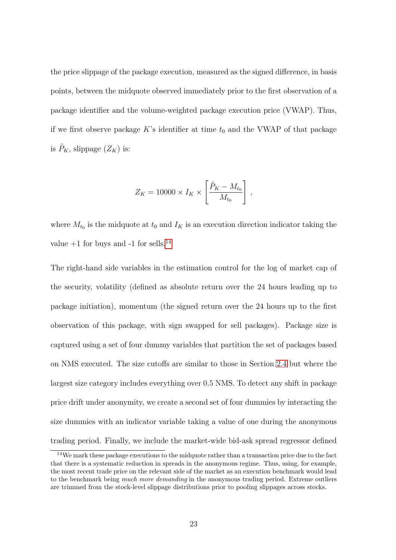the price slippage of the package execution, measured as the signed difference, in basis points, between the midquote observed immediately prior to the first observation of a package identifier and the volume-weighted package execution price (VWAP). Thus, if we first observe package K's identifier at time  $t_0$  and the VWAP of that package is  $\tilde{P}_K$ , slippage  $(Z_K)$  is:

$$
Z_K = 10000 \times I_K \times \left[\frac{\tilde{P}_K - M_{t_0}}{M_{t_0}}\right],
$$

where  $M_{t_0}$  is the midquote at  $t_0$  and  $I_K$  is an execution direction indicator taking the value  $+1$  for buys and  $-1$  for sells.<sup>[14](#page-24-0)</sup>

The right-hand side variables in the estimation control for the log of market cap of the security, volatility (defined as absolute return over the 24 hours leading up to package initiation), momentum (the signed return over the 24 hours up to the first observation of this package, with sign swapped for sell packages). Package size is captured using a set of four dummy variables that partition the set of packages based on NMS executed. The size cutoffs are similar to those in Section [2.4](#page-21-0) but where the largest size category includes everything over 0.5 NMS. To detect any shift in package price drift under anonymity, we create a second set of four dummies by interacting the size dummies with an indicator variable taking a value of one during the anonymous trading period. Finally, we include the market-wide bid-ask spread regressor defined

<span id="page-24-0"></span><sup>&</sup>lt;sup>14</sup>We mark these package executions to the midquote rather than a transaction price due to the fact that there is a systematic reduction in spreads in the anonymous regime. Thus, using, for example, the most recent trade price on the relevant side of the market as an execution benchmark would lead to the benchmark being much more demanding in the anonymous trading period. Extreme outliers are trimmed from the stock-level slippage distributions prior to pooling slippages across stocks.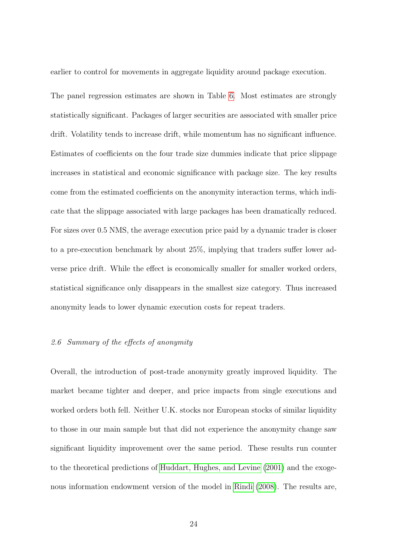earlier to control for movements in aggregate liquidity around package execution.

The panel regression estimates are shown in Table [6.](#page-49-0) Most estimates are strongly statistically significant. Packages of larger securities are associated with smaller price drift. Volatility tends to increase drift, while momentum has no significant influence. Estimates of coefficients on the four trade size dummies indicate that price slippage increases in statistical and economic significance with package size. The key results come from the estimated coefficients on the anonymity interaction terms, which indicate that the slippage associated with large packages has been dramatically reduced. For sizes over 0.5 NMS, the average execution price paid by a dynamic trader is closer to a pre-execution benchmark by about 25%, implying that traders suffer lower adverse price drift. While the effect is economically smaller for smaller worked orders, statistical significance only disappears in the smallest size category. Thus increased anonymity leads to lower dynamic execution costs for repeat traders.

#### 2.6 Summary of the effects of anonymity

Overall, the introduction of post-trade anonymity greatly improved liquidity. The market became tighter and deeper, and price impacts from single executions and worked orders both fell. Neither U.K. stocks nor European stocks of similar liquidity to those in our main sample but that did not experience the anonymity change saw significant liquidity improvement over the same period. These results run counter to the theoretical predictions of [Huddart, Hughes, and Levine](#page-42-0) [\(2001\)](#page-42-0) and the exogenous information endowment version of the model in [Rindi](#page-42-1) [\(2008\)](#page-42-1). The results are,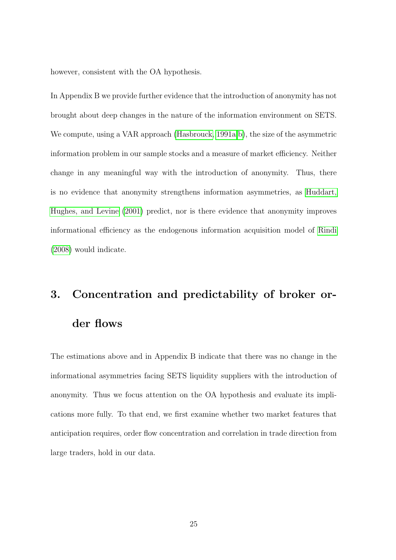however, consistent with the OA hypothesis.

In Appendix B we provide further evidence that the introduction of anonymity has not brought about deep changes in the nature of the information environment on SETS. We compute, using a VAR approach [\(Hasbrouck, 1991a,](#page-42-8) [b\)](#page-42-9), the size of the asymmetric information problem in our sample stocks and a measure of market efficiency. Neither change in any meaningful way with the introduction of anonymity. Thus, there is no evidence that anonymity strengthens information asymmetries, as [Huddart,](#page-42-0) [Hughes, and Levine](#page-42-0) [\(2001\)](#page-42-0) predict, nor is there evidence that anonymity improves informational efficiency as the endogenous information acquisition model of [Rindi](#page-42-1) [\(2008\)](#page-42-1) would indicate.

## <span id="page-26-0"></span>3. Concentration and predictability of broker order flows

The estimations above and in Appendix B indicate that there was no change in the informational asymmetries facing SETS liquidity suppliers with the introduction of anonymity. Thus we focus attention on the OA hypothesis and evaluate its implications more fully. To that end, we first examine whether two market features that anticipation requires, order flow concentration and correlation in trade direction from large traders, hold in our data.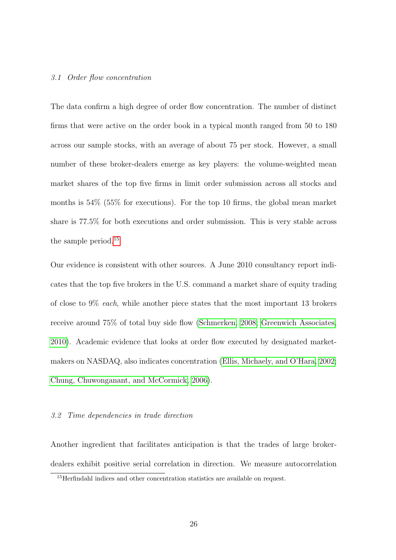#### 3.1 Order flow concentration

The data confirm a high degree of order flow concentration. The number of distinct firms that were active on the order book in a typical month ranged from 50 to 180 across our sample stocks, with an average of about 75 per stock. However, a small number of these broker-dealers emerge as key players: the volume-weighted mean market shares of the top five firms in limit order submission across all stocks and months is 54% (55% for executions). For the top 10 firms, the global mean market share is 77.5% for both executions and order submission. This is very stable across the sample period.[15](#page-27-0)

Our evidence is consistent with other sources. A June 2010 consultancy report indicates that the top five brokers in the U.S. command a market share of equity trading of close to 9% each, while another piece states that the most important 13 brokers receive around 75% of total buy side flow [\(Schmerken, 2008;](#page-43-2) [Greenwich Associates,](#page-41-7) [2010\)](#page-41-7). Academic evidence that looks at order flow executed by designated marketmakers on NASDAQ, also indicates concentration [\(Ellis, Michaely, and O'Hara, 2002;](#page-41-8) [Chung, Chuwonganant, and McCormick, 2006\)](#page-41-9).

#### 3.2 Time dependencies in trade direction

Another ingredient that facilitates anticipation is that the trades of large brokerdealers exhibit positive serial correlation in direction. We measure autocorrelation

<span id="page-27-0"></span><sup>15</sup>Herfindahl indices and other concentration statistics are available on request.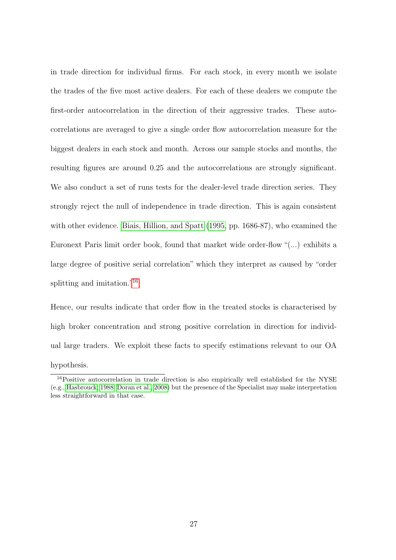in trade direction for individual firms. For each stock, in every month we isolate the trades of the five most active dealers. For each of these dealers we compute the first-order autocorrelation in the direction of their aggressive trades. These autocorrelations are averaged to give a single order flow autocorrelation measure for the biggest dealers in each stock and month. Across our sample stocks and months, the resulting figures are around 0.25 and the autocorrelations are strongly significant. We also conduct a set of runs tests for the dealer-level trade direction series. They strongly reject the null of independence in trade direction. This is again consistent with other evidence. [Biais, Hillion, and Spatt](#page-40-10) [\(1995,](#page-40-10) pp. 1686-87), who examined the Euronext Paris limit order book, found that market wide order-flow "(...) exhibits a large degree of positive serial correlation" which they interpret as caused by "order splitting and imitation."[16](#page-28-0)

Hence, our results indicate that order flow in the treated stocks is characterised by high broker concentration and strong positive correlation in direction for individual large traders. We exploit these facts to specify estimations relevant to our OA hypothesis.

<span id="page-28-0"></span><sup>&</sup>lt;sup>16</sup>Positive autocorrelation in trade direction is also empirically well established for the NYSE (e.g., [Hasbrouck, 1988;](#page-42-10) [Doran et al., 2008\)](#page-41-10) but the presence of the Specialist may make interpretation less straightforward in that case.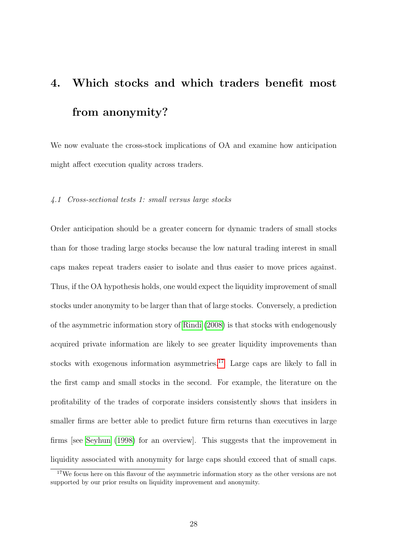# <span id="page-29-0"></span>4. Which stocks and which traders benefit most from anonymity?

We now evaluate the cross-stock implications of OA and examine how anticipation might affect execution quality across traders.

#### 4.1 Cross-sectional tests 1: small versus large stocks

Order anticipation should be a greater concern for dynamic traders of small stocks than for those trading large stocks because the low natural trading interest in small caps makes repeat traders easier to isolate and thus easier to move prices against. Thus, if the OA hypothesis holds, one would expect the liquidity improvement of small stocks under anonymity to be larger than that of large stocks. Conversely, a prediction of the asymmetric information story of [Rindi](#page-42-1) [\(2008\)](#page-42-1) is that stocks with endogenously acquired private information are likely to see greater liquidity improvements than stocks with exogenous information asymmetries.<sup>[17](#page-29-1)</sup> Large caps are likely to fall in the first camp and small stocks in the second. For example, the literature on the profitability of the trades of corporate insiders consistently shows that insiders in smaller firms are better able to predict future firm returns than executives in large firms [see [Seyhun](#page-43-3) [\(1998\)](#page-43-3) for an overview]. This suggests that the improvement in liquidity associated with anonymity for large caps should exceed that of small caps.

<span id="page-29-1"></span><sup>&</sup>lt;sup>17</sup>We focus here on this flavour of the asymmetric information story as the other versions are not supported by our prior results on liquidity improvement and anonymity.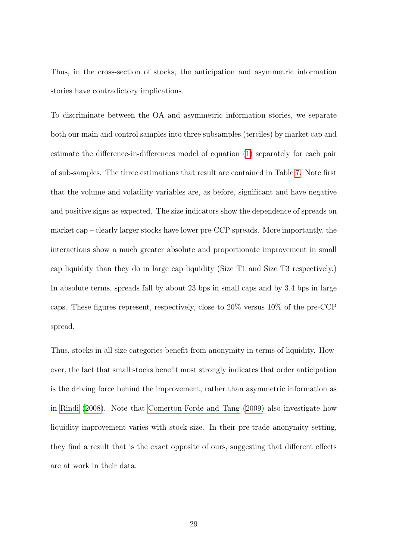Thus, in the cross-section of stocks, the anticipation and asymmetric information stories have contradictory implications.

To discriminate between the OA and asymmetric information stories, we separate both our main and control samples into three subsamples (terciles) by market cap and estimate the difference-in-differences model of equation [\(1\)](#page-15-2) separately for each pair of sub-samples. The three estimations that result are contained in Table [7.](#page-50-0) Note first that the volume and volatility variables are, as before, significant and have negative and positive signs as expected. The size indicators show the dependence of spreads on market cap – clearly larger stocks have lower pre-CCP spreads. More importantly, the interactions show a much greater absolute and proportionate improvement in small cap liquidity than they do in large cap liquidity (Size T1 and Size T3 respectively.) In absolute terms, spreads fall by about 23 bps in small caps and by 3.4 bps in large caps. These figures represent, respectively, close to 20% versus 10% of the pre-CCP spread.

Thus, stocks in all size categories benefit from anonymity in terms of liquidity. However, the fact that small stocks benefit most strongly indicates that order anticipation is the driving force behind the improvement, rather than asymmetric information as in [Rindi](#page-42-1) [\(2008\)](#page-42-1). Note that [Comerton-Forde and Tang](#page-41-4) [\(2009\)](#page-41-4) also investigate how liquidity improvement varies with stock size. In their pre-trade anonymity setting, they find a result that is the exact opposite of ours, suggesting that different effects are at work in their data.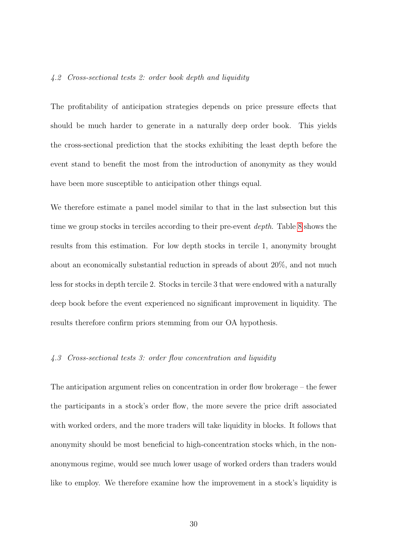#### <span id="page-31-0"></span>4.2 Cross-sectional tests 2: order book depth and liquidity

The profitability of anticipation strategies depends on price pressure effects that should be much harder to generate in a naturally deep order book. This yields the cross-sectional prediction that the stocks exhibiting the least depth before the event stand to benefit the most from the introduction of anonymity as they would have been more susceptible to anticipation other things equal.

We therefore estimate a panel model similar to that in the last subsection but this time we group stocks in terciles according to their pre-event *depth*. Table [8](#page-51-0) shows the results from this estimation. For low depth stocks in tercile 1, anonymity brought about an economically substantial reduction in spreads of about 20%, and not much less for stocks in depth tercile 2. Stocks in tercile 3 that were endowed with a naturally deep book before the event experienced no significant improvement in liquidity. The results therefore confirm priors stemming from our OA hypothesis.

#### 4.3 Cross-sectional tests 3: order flow concentration and liquidity

The anticipation argument relies on concentration in order flow brokerage – the fewer the participants in a stock's order flow, the more severe the price drift associated with worked orders, and the more traders will take liquidity in blocks. It follows that anonymity should be most beneficial to high-concentration stocks which, in the nonanonymous regime, would see much lower usage of worked orders than traders would like to employ. We therefore examine how the improvement in a stock's liquidity is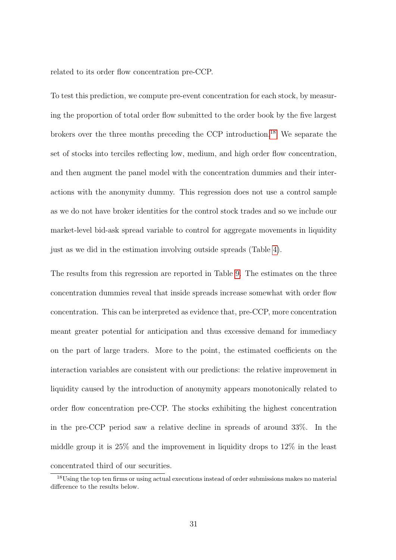related to its order flow concentration pre-CCP.

To test this prediction, we compute pre-event concentration for each stock, by measuring the proportion of total order flow submitted to the order book by the five largest brokers over the three months preceding the CCP introduction.[18](#page-32-0) We separate the set of stocks into terciles reflecting low, medium, and high order flow concentration, and then augment the panel model with the concentration dummies and their interactions with the anonymity dummy. This regression does not use a control sample as we do not have broker identities for the control stock trades and so we include our market-level bid-ask spread variable to control for aggregate movements in liquidity just as we did in the estimation involving outside spreads (Table [4\)](#page-47-0).

The results from this regression are reported in Table [9.](#page-52-0) The estimates on the three concentration dummies reveal that inside spreads increase somewhat with order flow concentration. This can be interpreted as evidence that, pre-CCP, more concentration meant greater potential for anticipation and thus excessive demand for immediacy on the part of large traders. More to the point, the estimated coefficients on the interaction variables are consistent with our predictions: the relative improvement in liquidity caused by the introduction of anonymity appears monotonically related to order flow concentration pre-CCP. The stocks exhibiting the highest concentration in the pre-CCP period saw a relative decline in spreads of around 33%. In the middle group it is 25% and the improvement in liquidity drops to 12% in the least concentrated third of our securities.

<span id="page-32-0"></span><sup>18</sup>Using the top ten firms or using actual executions instead of order submissions makes no material difference to the results below.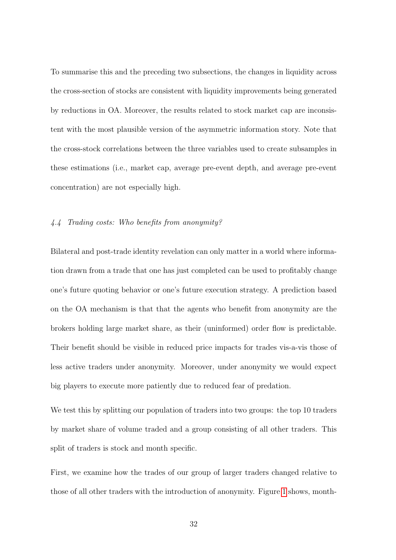To summarise this and the preceding two subsections, the changes in liquidity across the cross-section of stocks are consistent with liquidity improvements being generated by reductions in OA. Moreover, the results related to stock market cap are inconsistent with the most plausible version of the asymmetric information story. Note that the cross-stock correlations between the three variables used to create subsamples in these estimations (i.e., market cap, average pre-event depth, and average pre-event concentration) are not especially high.

#### 4.4 Trading costs: Who benefits from anonymity?

Bilateral and post-trade identity revelation can only matter in a world where information drawn from a trade that one has just completed can be used to profitably change one's future quoting behavior or one's future execution strategy. A prediction based on the OA mechanism is that that the agents who benefit from anonymity are the brokers holding large market share, as their (uninformed) order flow is predictable. Their benefit should be visible in reduced price impacts for trades vis-a-vis those of less active traders under anonymity. Moreover, under anonymity we would expect big players to execute more patiently due to reduced fear of predation.

We test this by splitting our population of traders into two groups: the top 10 traders by market share of volume traded and a group consisting of all other traders. This split of traders is stock and month specific.

First, we examine how the trades of our group of larger traders changed relative to those of all other traders with the introduction of anonymity. Figure [1](#page-54-0) shows, month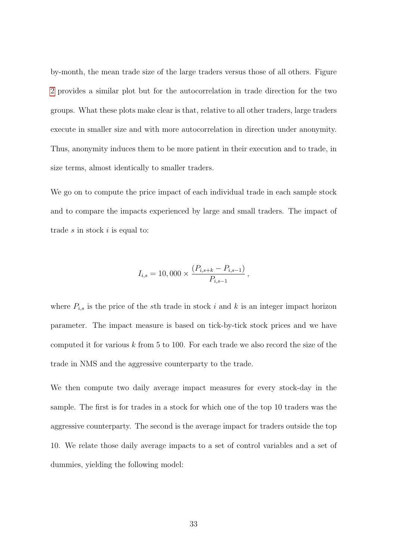by-month, the mean trade size of the large traders versus those of all others. Figure [2](#page-55-0) provides a similar plot but for the autocorrelation in trade direction for the two groups. What these plots make clear is that, relative to all other traders, large traders execute in smaller size and with more autocorrelation in direction under anonymity. Thus, anonymity induces them to be more patient in their execution and to trade, in size terms, almost identically to smaller traders.

We go on to compute the price impact of each individual trade in each sample stock and to compare the impacts experienced by large and small traders. The impact of trade  $s$  in stock  $i$  is equal to:

$$
I_{i,s} = 10,000 \times \frac{(P_{i,s+k} - P_{i,s-1})}{P_{i,s-1}},
$$

where  $P_{i,s}$  is the price of the sth trade in stock i and k is an integer impact horizon parameter. The impact measure is based on tick-by-tick stock prices and we have computed it for various  $k$  from 5 to 100. For each trade we also record the size of the trade in NMS and the aggressive counterparty to the trade.

We then compute two daily average impact measures for every stock-day in the sample. The first is for trades in a stock for which one of the top 10 traders was the aggressive counterparty. The second is the average impact for traders outside the top 10. We relate those daily average impacts to a set of control variables and a set of dummies, yielding the following model: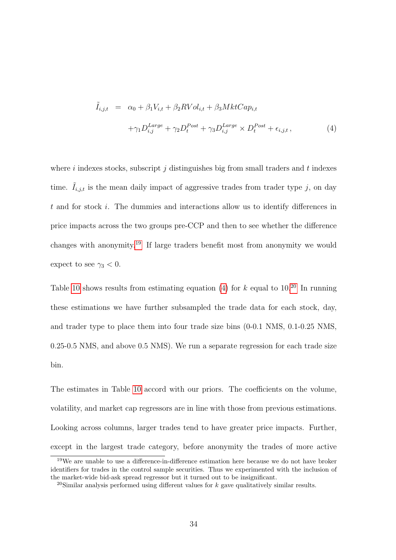<span id="page-35-1"></span>
$$
\tilde{I}_{i,j,t} = \alpha_0 + \beta_1 V_{i,t} + \beta_2 RVol_{i,t} + \beta_3 MktCap_{i,t} \n+ \gamma_1 D_{i,j}^{Large} + \gamma_2 D_t^{Post} + \gamma_3 D_{i,j}^{Large} \times D_t^{Post} + \epsilon_{i,j,t},
$$
\n(4)

where  $i$  indexes stocks, subscript  $j$  distinguishes big from small traders and  $t$  indexes time.  $\tilde{I}_{i,j,t}$  is the mean daily impact of aggressive trades from trader type j, on day t and for stock i. The dummies and interactions allow us to identify differences in price impacts across the two groups pre-CCP and then to see whether the difference changes with anonymity.[19](#page-35-0) If large traders benefit most from anonymity we would expect to see  $\gamma_3 < 0$ .

Table [10](#page-53-0) shows results from estimating equation [\(4\)](#page-35-1) for  $k$  equal to 10.<sup>[20](#page-35-2)</sup> In running these estimations we have further subsampled the trade data for each stock, day, and trader type to place them into four trade size bins (0-0.1 NMS, 0.1-0.25 NMS, 0.25-0.5 NMS, and above 0.5 NMS). We run a separate regression for each trade size bin.

The estimates in Table [10](#page-53-0) accord with our priors. The coefficients on the volume, volatility, and market cap regressors are in line with those from previous estimations. Looking across columns, larger trades tend to have greater price impacts. Further, except in the largest trade category, before anonymity the trades of more active

<span id="page-35-0"></span><sup>19</sup>We are unable to use a difference-in-difference estimation here because we do not have broker identifiers for trades in the control sample securities. Thus we experimented with the inclusion of the market-wide bid-ask spread regressor but it turned out to be insignificant.

<span id="page-35-2"></span><sup>&</sup>lt;sup>20</sup>Similar analysis performed using different values for k gave qualitatively similar results.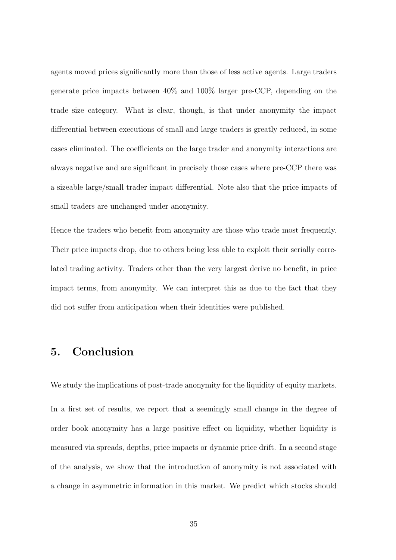agents moved prices significantly more than those of less active agents. Large traders generate price impacts between 40% and 100% larger pre-CCP, depending on the trade size category. What is clear, though, is that under anonymity the impact differential between executions of small and large traders is greatly reduced, in some cases eliminated. The coefficients on the large trader and anonymity interactions are always negative and are significant in precisely those cases where pre-CCP there was a sizeable large/small trader impact differential. Note also that the price impacts of small traders are unchanged under anonymity.

Hence the traders who benefit from anonymity are those who trade most frequently. Their price impacts drop, due to others being less able to exploit their serially correlated trading activity. Traders other than the very largest derive no benefit, in price impact terms, from anonymity. We can interpret this as due to the fact that they did not suffer from anticipation when their identities were published.

## <span id="page-36-0"></span>5. Conclusion

We study the implications of post-trade anonymity for the liquidity of equity markets.

In a first set of results, we report that a seemingly small change in the degree of order book anonymity has a large positive effect on liquidity, whether liquidity is measured via spreads, depths, price impacts or dynamic price drift. In a second stage of the analysis, we show that the introduction of anonymity is not associated with a change in asymmetric information in this market. We predict which stocks should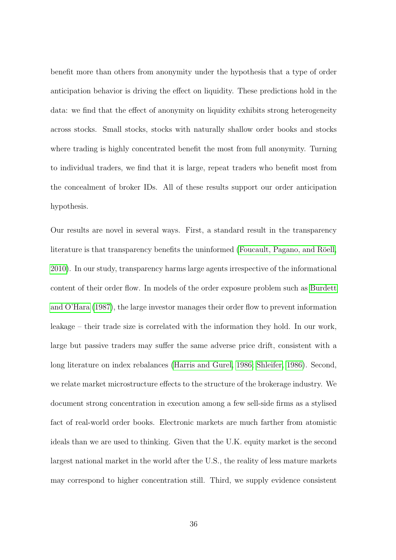benefit more than others from anonymity under the hypothesis that a type of order anticipation behavior is driving the effect on liquidity. These predictions hold in the data: we find that the effect of anonymity on liquidity exhibits strong heterogeneity across stocks. Small stocks, stocks with naturally shallow order books and stocks where trading is highly concentrated benefit the most from full anonymity. Turning to individual traders, we find that it is large, repeat traders who benefit most from the concealment of broker IDs. All of these results support our order anticipation hypothesis.

Our results are novel in several ways. First, a standard result in the transparency literature is that transparency benefits the uninformed (Foucault, Pagano, and Röell, [2010\)](#page-41-11). In our study, transparency harms large agents irrespective of the informational content of their order flow. In models of the order exposure problem such as [Burdett](#page-40-11) [and O'Hara](#page-40-11) [\(1987\)](#page-40-11), the large investor manages their order flow to prevent information leakage – their trade size is correlated with the information they hold. In our work, large but passive traders may suffer the same adverse price drift, consistent with a long literature on index rebalances [\(Harris and Gurel, 1986;](#page-42-2) [Shleifer, 1986\)](#page-43-0). Second, we relate market microstructure effects to the structure of the brokerage industry. We document strong concentration in execution among a few sell-side firms as a stylised fact of real-world order books. Electronic markets are much farther from atomistic ideals than we are used to thinking. Given that the U.K. equity market is the second largest national market in the world after the U.S., the reality of less mature markets may correspond to higher concentration still. Third, we supply evidence consistent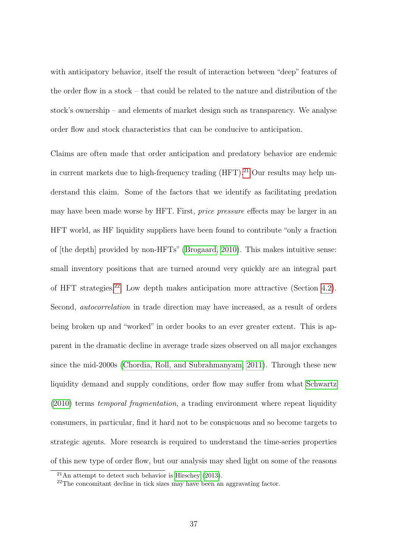with anticipatory behavior, itself the result of interaction between "deep" features of the order flow in a stock – that could be related to the nature and distribution of the stock's ownership – and elements of market design such as transparency. We analyse order flow and stock characteristics that can be conducive to anticipation.

Claims are often made that order anticipation and predatory behavior are endemic in current markets due to high-frequency trading  $(HFT)$ .<sup>[21](#page-38-0)</sup> Our results may help understand this claim. Some of the factors that we identify as facilitating predation may have been made worse by HFT. First, price pressure effects may be larger in an HFT world, as HF liquidity suppliers have been found to contribute "only a fraction of [the depth] provided by non-HFTs" [\(Brogaard, 2010\)](#page-40-12). This makes intuitive sense: small inventory positions that are turned around very quickly are an integral part of HFT strategies.[22](#page-38-1) Low depth makes anticipation more attractive (Section [4.2\)](#page-31-0). Second, autocorrelation in trade direction may have increased, as a result of orders being broken up and "worked" in order books to an ever greater extent. This is apparent in the dramatic decline in average trade sizes observed on all major exchanges since the mid-2000s [\(Chordia, Roll, and Subrahmanyam, 2011\)](#page-41-12). Through these new liquidity demand and supply conditions, order flow may suffer from what [Schwartz](#page-43-4) [\(2010\)](#page-43-4) terms temporal fragmentation, a trading environment where repeat liquidity consumers, in particular, find it hard not to be conspicuous and so become targets to strategic agents. More research is required to understand the time-series properties of this new type of order flow, but our analysis may shed light on some of the reasons

<span id="page-38-0"></span> $21$ An attempt to detect such behavior is [Hirschey](#page-42-11) [\(2013\)](#page-42-11).

<span id="page-38-1"></span><sup>22</sup>The concomitant decline in tick sizes may have been an aggravating factor.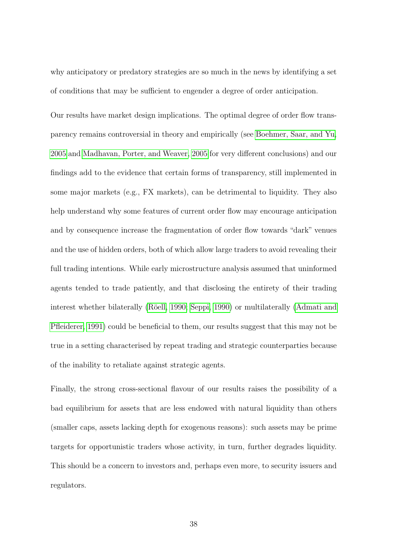why anticipatory or predatory strategies are so much in the news by identifying a set of conditions that may be sufficient to engender a degree of order anticipation.

Our results have market design implications. The optimal degree of order flow transparency remains controversial in theory and empirically (see [Boehmer, Saar, and Yu,](#page-40-13) [2005](#page-40-13) and [Madhavan, Porter, and Weaver, 2005](#page-42-12) for very different conclusions) and our findings add to the evidence that certain forms of transparency, still implemented in some major markets (e.g., FX markets), can be detrimental to liquidity. They also help understand why some features of current order flow may encourage anticipation and by consequence increase the fragmentation of order flow towards "dark" venues and the use of hidden orders, both of which allow large traders to avoid revealing their full trading intentions. While early microstructure analysis assumed that uninformed agents tended to trade patiently, and that disclosing the entirety of their trading interest whether bilaterally (Röell, 1990; [Seppi, 1990\)](#page-43-5) or multilaterally [\(Admati and](#page-40-14) [Pfleiderer, 1991\)](#page-40-14) could be beneficial to them, our results suggest that this may not be true in a setting characterised by repeat trading and strategic counterparties because of the inability to retaliate against strategic agents.

Finally, the strong cross-sectional flavour of our results raises the possibility of a bad equilibrium for assets that are less endowed with natural liquidity than others (smaller caps, assets lacking depth for exogenous reasons): such assets may be prime targets for opportunistic traders whose activity, in turn, further degrades liquidity. This should be a concern to investors and, perhaps even more, to security issuers and regulators.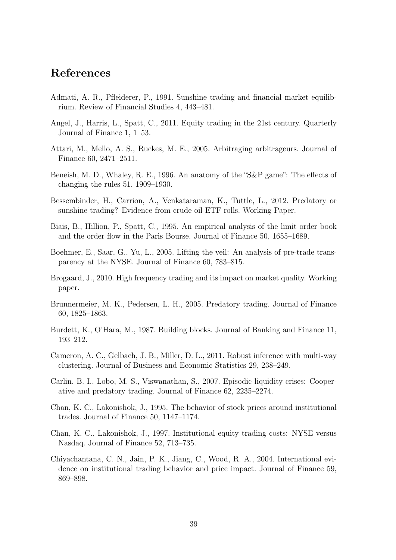## References

- <span id="page-40-14"></span>Admati, A. R., Pfleiderer, P., 1991. Sunshine trading and financial market equilibrium. Review of Financial Studies 4, 443–481.
- <span id="page-40-4"></span>Angel, J., Harris, L., Spatt, C., 2011. Equity trading in the 21st century. Quarterly Journal of Finance 1, 1–53.
- <span id="page-40-1"></span>Attari, M., Mello, A. S., Ruckes, M. E., 2005. Arbitraging arbitrageurs. Journal of Finance 60, 2471–2511.
- <span id="page-40-0"></span>Beneish, M. D., Whaley, R. E., 1996. An anatomy of the "S&P game": The effects of changing the rules 51, 1909–1930.
- <span id="page-40-5"></span>Bessembinder, H., Carrion, A., Venkataraman, K., Tuttle, L., 2012. Predatory or sunshine trading? Evidence from crude oil ETF rolls. Working Paper.
- <span id="page-40-10"></span>Biais, B., Hillion, P., Spatt, C., 1995. An empirical analysis of the limit order book and the order flow in the Paris Bourse. Journal of Finance 50, 1655–1689.
- <span id="page-40-13"></span>Boehmer, E., Saar, G., Yu, L., 2005. Lifting the veil: An analysis of pre-trade transparency at the NYSE. Journal of Finance 60, 783–815.
- <span id="page-40-12"></span>Brogaard, J., 2010. High frequency trading and its impact on market quality. Working paper.
- <span id="page-40-2"></span>Brunnermeier, M. K., Pedersen, L. H., 2005. Predatory trading. Journal of Finance 60, 1825–1863.
- <span id="page-40-11"></span>Burdett, K., O'Hara, M., 1987. Building blocks. Journal of Banking and Finance 11, 193–212.
- <span id="page-40-8"></span>Cameron, A. C., Gelbach, J. B., Miller, D. L., 2011. Robust inference with multi-way clustering. Journal of Business and Economic Statistics 29, 238–249.
- <span id="page-40-3"></span>Carlin, B. I., Lobo, M. S., Viswanathan, S., 2007. Episodic liquidity crises: Cooperative and predatory trading. Journal of Finance 62, 2235–2274.
- <span id="page-40-6"></span>Chan, K. C., Lakonishok, J., 1995. The behavior of stock prices around institutional trades. Journal of Finance 50, 1147–1174.
- <span id="page-40-7"></span>Chan, K. C., Lakonishok, J., 1997. Institutional equity trading costs: NYSE versus Nasdaq. Journal of Finance 52, 713–735.
- <span id="page-40-9"></span>Chiyachantana, C. N., Jain, P. K., Jiang, C., Wood, R. A., 2004. International evidence on institutional trading behavior and price impact. Journal of Finance 59, 869–898.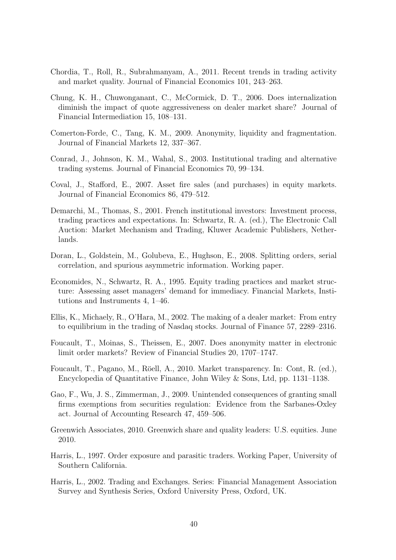- <span id="page-41-12"></span>Chordia, T., Roll, R., Subrahmanyam, A., 2011. Recent trends in trading activity and market quality. Journal of Financial Economics 101, 243–263.
- <span id="page-41-9"></span>Chung, K. H., Chuwonganant, C., McCormick, D. T., 2006. Does internalization diminish the impact of quote aggressiveness on dealer market share? Journal of Financial Intermediation 15, 108–131.
- <span id="page-41-4"></span>Comerton-Forde, C., Tang, K. M., 2009. Anonymity, liquidity and fragmentation. Journal of Financial Markets 12, 337–367.
- <span id="page-41-6"></span>Conrad, J., Johnson, K. M., Wahal, S., 2003. Institutional trading and alternative trading systems. Journal of Financial Economics 70, 99–134.
- <span id="page-41-3"></span>Coval, J., Stafford, E., 2007. Asset fire sales (and purchases) in equity markets. Journal of Financial Economics 86, 479–512.
- <span id="page-41-14"></span>Demarchi, M., Thomas, S., 2001. French institutional investors: Investment process, trading practices and expectations. In: Schwartz, R. A. (ed.), The Electronic Call Auction: Market Mechanism and Trading, Kluwer Academic Publishers, Netherlands.
- <span id="page-41-10"></span>Doran, L., Goldstein, M., Golubeva, E., Hughson, E., 2008. Splitting orders, serial correlation, and spurious asymmetric information. Working paper.
- <span id="page-41-13"></span>Economides, N., Schwartz, R. A., 1995. Equity trading practices and market structure: Assessing asset managers' demand for immediacy. Financial Markets, Institutions and Instruments 4, 1–46.
- <span id="page-41-8"></span>Ellis, K., Michaely, R., O'Hara, M., 2002. The making of a dealer market: From entry to equilibrium in the trading of Nasdaq stocks. Journal of Finance 57, 2289–2316.
- <span id="page-41-0"></span>Foucault, T., Moinas, S., Theissen, E., 2007. Does anonymity matter in electronic limit order markets? Review of Financial Studies 20, 1707–1747.
- <span id="page-41-11"></span>Foucault, T., Pagano, M., Röell, A., 2010. Market transparency. In: Cont, R. (ed.), Encyclopedia of Quantitative Finance, John Wiley & Sons, Ltd, pp. 1131–1138.
- <span id="page-41-5"></span>Gao, F., Wu, J. S., Zimmerman, J., 2009. Unintended consequences of granting small firms exemptions from securities regulation: Evidence from the Sarbanes-Oxley act. Journal of Accounting Research 47, 459–506.
- <span id="page-41-7"></span>Greenwich Associates, 2010. Greenwich share and quality leaders: U.S. equities. June 2010.
- <span id="page-41-1"></span>Harris, L., 1997. Order exposure and parasitic traders. Working Paper, University of Southern California.
- <span id="page-41-2"></span>Harris, L., 2002. Trading and Exchanges. Series: Financial Management Association Survey and Synthesis Series, Oxford University Press, Oxford, UK.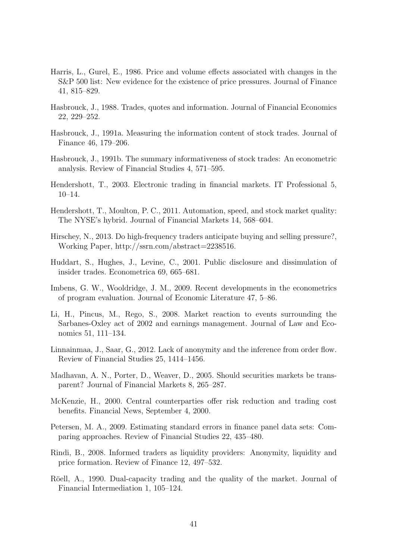- <span id="page-42-2"></span>Harris, L., Gurel, E., 1986. Price and volume effects associated with changes in the S&P 500 list: New evidence for the existence of price pressures. Journal of Finance 41, 815–829.
- <span id="page-42-10"></span>Hasbrouck, J., 1988. Trades, quotes and information. Journal of Financial Economics 22, 229–252.
- <span id="page-42-8"></span>Hasbrouck, J., 1991a. Measuring the information content of stock trades. Journal of Finance 46, 179–206.
- <span id="page-42-9"></span>Hasbrouck, J., 1991b. The summary informativeness of stock trades: An econometric analysis. Review of Financial Studies 4, 571–595.
- <span id="page-42-14"></span>Hendershott, T., 2003. Electronic trading in financial markets. IT Professional 5, 10–14.
- <span id="page-42-15"></span>Hendershott, T., Moulton, P. C., 2011. Automation, speed, and stock market quality: The NYSE's hybrid. Journal of Financial Markets 14, 568–604.
- <span id="page-42-11"></span>Hirschey, N., 2013. Do high-frequency traders anticipate buying and selling pressure?, Working Paper, http://ssrn.com/abstract=2238516.
- <span id="page-42-0"></span>Huddart, S., Hughes, J., Levine, C., 2001. Public disclosure and dissimulation of insider trades. Econometrica 69, 665–681.
- <span id="page-42-6"></span>Imbens, G. W., Wooldridge, J. M., 2009. Recent developments in the econometrics of program evaluation. Journal of Economic Literature 47, 5–86.
- <span id="page-42-5"></span>Li, H., Pincus, M., Rego, S., 2008. Market reaction to events surrounding the Sarbanes-Oxley act of 2002 and earnings management. Journal of Law and Economics 51, 111–134.
- <span id="page-42-3"></span>Linnainmaa, J., Saar, G., 2012. Lack of anonymity and the inference from order flow. Review of Financial Studies 25, 1414–1456.
- <span id="page-42-12"></span>Madhavan, A. N., Porter, D., Weaver, D., 2005. Should securities markets be transparent? Journal of Financial Markets 8, 265–287.
- <span id="page-42-4"></span>McKenzie, H., 2000. Central counterparties offer risk reduction and trading cost benefits. Financial News, September 4, 2000.
- <span id="page-42-7"></span>Petersen, M. A., 2009. Estimating standard errors in finance panel data sets: Comparing approaches. Review of Financial Studies 22, 435–480.
- <span id="page-42-1"></span>Rindi, B., 2008. Informed traders as liquidity providers: Anonymity, liquidity and price formation. Review of Finance 12, 497–532.
- <span id="page-42-13"></span>Röell, A., 1990. Dual-capacity trading and the quality of the market. Journal of Financial Intermediation 1, 105–124.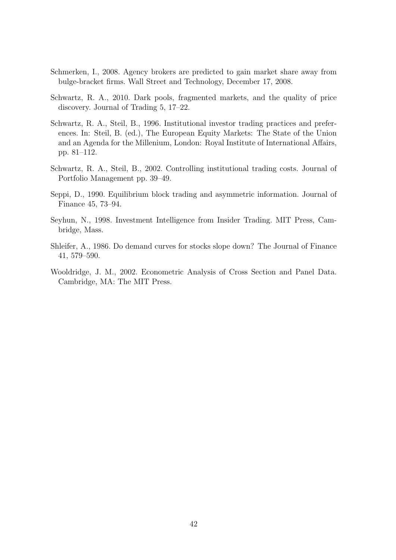- <span id="page-43-2"></span>Schmerken, I., 2008. Agency brokers are predicted to gain market share away from bulge-bracket firms. Wall Street and Technology, December 17, 2008.
- <span id="page-43-4"></span>Schwartz, R. A., 2010. Dark pools, fragmented markets, and the quality of price discovery. Journal of Trading 5, 17–22.
- <span id="page-43-6"></span>Schwartz, R. A., Steil, B., 1996. Institutional investor trading practices and preferences. In: Steil, B. (ed.), The European Equity Markets: The State of the Union and an Agenda for the Millenium, London: Royal Institute of International Affairs, pp. 81–112.
- <span id="page-43-7"></span>Schwartz, R. A., Steil, B., 2002. Controlling institutional trading costs. Journal of Portfolio Management pp. 39–49.
- <span id="page-43-5"></span>Seppi, D., 1990. Equilibrium block trading and asymmetric information. Journal of Finance 45, 73–94.
- <span id="page-43-3"></span>Seyhun, N., 1998. Investment Intelligence from Insider Trading. MIT Press, Cambridge, Mass.
- <span id="page-43-0"></span>Shleifer, A., 1986. Do demand curves for stocks slope down? The Journal of Finance 41, 579–590.
- <span id="page-43-1"></span>Wooldridge, J. M., 2002. Econometric Analysis of Cross Section and Panel Data. Cambridge, MA: The MIT Press.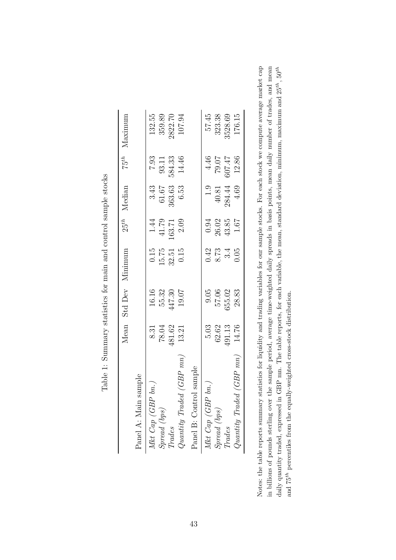|                                                                                                                                   | Mean                                         |        | Std Dev Minimum                     | $25^{th}$                                    | Median                         | $75^{th}$      | Maximum |
|-----------------------------------------------------------------------------------------------------------------------------------|----------------------------------------------|--------|-------------------------------------|----------------------------------------------|--------------------------------|----------------|---------|
| sample<br>Panel A: Main                                                                                                           |                                              |        |                                     |                                              |                                |                |         |
| Mkt Cap (GBP bn.)                                                                                                                 |                                              | 16.16  | 0.15                                |                                              |                                | 7.93           | 132.55  |
| Spread (bps)                                                                                                                      | $\begin{array}{c} 8.31 \\ 78.04 \end{array}$ | 55.32  | 15.75                               | $\begin{array}{c} 1.44 \\ 41.79 \end{array}$ | $\frac{3.43}{61.67}$<br>363.63 | 93.11          | 359.89  |
| $\mathit{Trades}$                                                                                                                 | 481.62                                       | 447.30 | 32.51                               | 163.71                                       |                                | 584.33         | 2822.70 |
| $Quantity\ Traded\ (GBP\ mn)$                                                                                                     | 13.21                                        | 19.07  | 0.15                                | 2.09                                         | 6.53                           | 14.46          | 107.94  |
| Panel B: Control sample                                                                                                           |                                              |        |                                     |                                              |                                |                |         |
| Mkt $Cap(GBP \, bn.)$                                                                                                             | 5.03                                         | 9.05   |                                     | 0.94                                         | 1.9                            |                | 57.45   |
| $S\ensuremath{\mathit{p}\mathit{r}\mathit{e}\mathit{a}}\xspace$ $\left(\ensuremath{\mathit{b}\mathit{p}\mathit{s}\xspace}\right)$ | 62.62                                        | 57.06  | $0.42$<br>$8.73$<br>$3.4$<br>$0.05$ | 26.02                                        | $40.81\,$                      | $4.46$ $79.07$ | 323.38  |
| $\mathop{Trades}\nolimits$                                                                                                        | 491.13                                       | 655.02 |                                     | $43.85$                                      | 284.44                         | <b>27.709</b>  | 3528.69 |
| $\emph{Quantity Trade (GBP mn)}$                                                                                                  | 14.76                                        | 28.83  |                                     | 1.67                                         | 4.69                           | 12.86          | 176.15  |

Table 1: Summary statistics for main and control sample stocks Table 1: Summary statistics for main and control sample stocks

<span id="page-44-0"></span>in billions of pounds sterling over the sample period, average time-weighted daily spreads in basis points, mean daily number of trades, and mean Notes: the table reports summary statistics for liquidity and trading variables for our sample stocks. For each stock we compute average market cap daily quantity traded, expressed in GBP mn. The table reports, for each variable, the mean, standard deviation, minimum, maximum and  $25^{th}$ ,  $50^{th}$ Notes: the table reports summary statistics for liquidity and trading variables for our sample stocks. For each stock we compute average market cap in billions of pounds sterling over the sample period, average time-weighted daily spreads in basis points, mean daily number of trades, and mean daily quantity traded, expressed in GBP mn. The table reports, for each variable, the mean, standard deviation, minimum, maximum and  $25^{th}$ ,  $50^{th}$ and  $75^{th}$  percentiles from the equally-weighted cross-stock distribution. and 75th percentiles from the equally-weighted cross-stock distribution.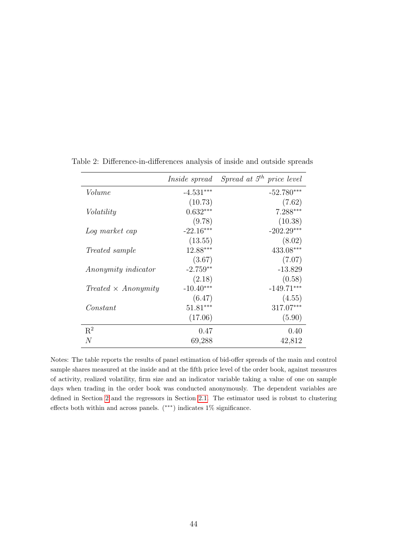<span id="page-45-0"></span>

|                            | <i>Inside spread</i> | Spread at $5^{th}$ price level |
|----------------------------|----------------------|--------------------------------|
| Volume                     | $-4.531***$          | $-52.780***$                   |
|                            | (10.73)              | (7.62)                         |
| Volatility                 | $0.632***$           | $7.288***$                     |
|                            | (9.78)               | (10.38)                        |
| Log market cap             | $-22.16***$          | $-202.29***$                   |
|                            | (13.55)              | (8.02)                         |
| <i>Treated sample</i>      | $12.88***$           | 433.08***                      |
|                            | (3.67)               | (7.07)                         |
| <i>Anonymity indicator</i> | $-2.759**$           | $-13.829$                      |
|                            | (2.18)               | (0.58)                         |
| $Treated \times Anonymity$ | $-10.40***$          | $-149.71***$                   |
|                            | (6.47)               | (4.55)                         |
| Constant                   | $51.81***$           | 317.07***                      |
|                            | (17.06)              | (5.90)                         |
| $\mathbf{R}^2$             | 0.47                 | 0.40                           |
| N                          | 69,288               | 42,812                         |

Table 2: Difference-in-differences analysis of inside and outside spreads

Notes: The table reports the results of panel estimation of bid-offer spreads of the main and control sample shares measured at the inside and at the fifth price level of the order book, against measures of activity, realized volatility, firm size and an indicator variable taking a value of one on sample days when trading in the order book was conducted anonymously. The dependent variables are defined in Section [2](#page-14-0) and the regressors in Section [2.1.](#page-14-1) The estimator used is robust to clustering effects both within and across panels. (∗∗∗) indicates 1% significance.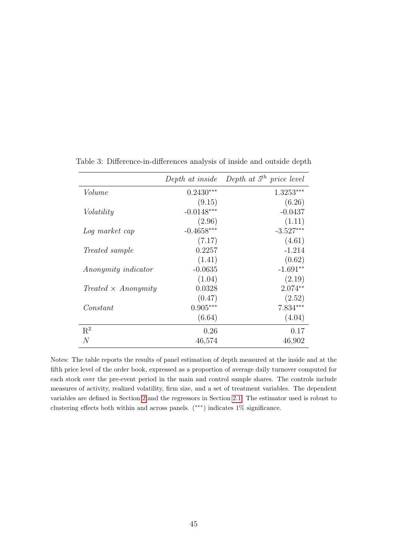|                            |              | Depth at inside Depth at $5th$ price level |
|----------------------------|--------------|--------------------------------------------|
| Volume                     | $0.2430***$  | $1.3253***$                                |
|                            | (9.15)       | (6.26)                                     |
| Volatility                 | $-0.0148***$ | $-0.0437$                                  |
|                            | (2.96)       | (1.11)                                     |
| Log market cap             | $-0.4658***$ | $-3.527***$                                |
|                            | (7.17)       | (4.61)                                     |
| <i>Treated sample</i>      | 0.2257       | $-1.214$                                   |
|                            | (1.41)       | (0.62)                                     |
| Anonymity indicator        | $-0.0635$    | $-1.691**$                                 |
|                            | (1.04)       | (2.19)                                     |
| $Treated \times Anonymity$ | 0.0328       | $2.074**$                                  |
|                            | (0.47)       | (2.52)                                     |
| Constant                   | $0.905***$   | $7.834***$                                 |
|                            | (6.64)       | (4.04)                                     |
| $R^2$                      | 0.26         | 0.17                                       |
| N                          | 46,574       | 46,902                                     |

<span id="page-46-0"></span>Table 3: Difference-in-differences analysis of inside and outside depth

Notes: The table reports the results of panel estimation of depth measured at the inside and at the fifth price level of the order book, expressed as a proportion of average daily turnover computed for each stock over the pre-event period in the main and control sample shares. The controls include measures of activity, realized volatility, firm size, and a set of treatment variables. The dependent variables are defined in Section [2](#page-14-0) and the regressors in Section [2.1.](#page-14-1) The estimator used is robust to clustering effects both within and across panels. (∗∗∗) indicates 1% significance.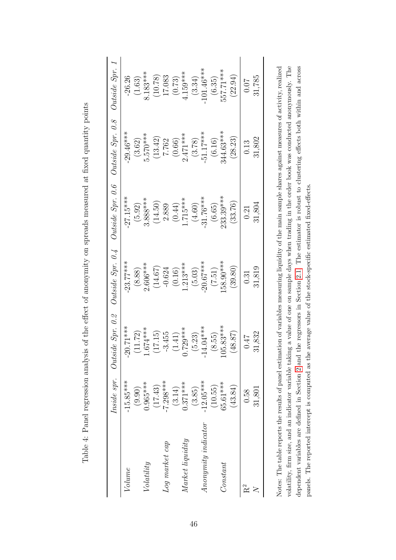<span id="page-47-0"></span>

|                           |             | Inside spr. Outside $Spr.$ 0.2 | Outside~Spr.~0.4 |             | Outside Spr. 0.6 Outside Spr. 0.8 | Outside Spr. 1 |
|---------------------------|-------------|--------------------------------|------------------|-------------|-----------------------------------|----------------|
| Volume                    | $-15.85***$ | $0.71***$<br>$\gamma$          | $-23.77***$      | $-27.15***$ | $-29.46***$                       | $-26.26$       |
|                           | (9.90)      | 11.72)                         | (8.88)           | (5.92)      | (3.62)                            | (1.63)         |
| Volatility                | $0.965***$  | 674****                        | $2.606***$       | $3.888***$  | $5.570***$                        | $8.183***$     |
|                           | (17.43)     | 17.15)                         | (14.67)          | (14.50)     | (13.42)                           | (10.78)        |
| Log market cap            | $-7.298***$ | $-3.455$                       | $-0.624$         | 2.889       | 7.762                             | 17.083         |
|                           | (3.14)      | (1.41)                         | (0.16)           | (0.44)      | (0.66)                            | (0.73)         |
| $\emph{Market liquidity}$ | $0.371***$  | 729***                         | $1.213***$       | $1.715***$  | $2.471***$                        | $4.159***$     |
|                           | (3.85)      | (5.23)                         | (5.03)           | (4.60)      | (3.78)                            | (3.34)         |
|                           | $-12.05***$ | $4.04***$                      | $20.67***$       | $-31.76***$ | $-51.17***$                       | $-101.46***$   |
|                           | (10.55)     | (8.55)                         | (7.51)           | (6.65)      | (6.16)                            | (6.35)         |
| Constant                  | 65.61***    | 15.83***                       | 58.90***         | 233.39***   | 344.63***                         | 557.71***      |
|                           | (43.84)     | (48.87)                        | (39.80)          | (33.76)     | (28.23)                           | (22.94)        |
| R <sup>2</sup>            | 0.58        | 7F0                            | 0.31             | 0.21        | 0.13                              | 0.07           |
|                           | 31,801      | 31,832                         | 31,819           | 31,804      | 31,802                            | 31,785         |

| Í                                                                                                                                                                                                                              |
|--------------------------------------------------------------------------------------------------------------------------------------------------------------------------------------------------------------------------------|
|                                                                                                                                                                                                                                |
|                                                                                                                                                                                                                                |
|                                                                                                                                                                                                                                |
| 22 23 23 24 25 26 27 28<br>)<br>}<br>}                                                                                                                                                                                         |
| interaction and around the form of the controller on any control of the controller of the controller of the controller of the controller of the controller of the controller of the controller of the controller of the contro |
| $\frac{1}{2}$                                                                                                                                                                                                                  |
| j                                                                                                                                                                                                                              |
| .<br>)<br>)<br>{                                                                                                                                                                                                               |
| $= 2$ and $= 20$ and $= 10$ and $= 10$                                                                                                                                                                                         |
| į<br>J<br>l<br>Í<br>)<br>j<br>l                                                                                                                                                                                                |
| i<br>֚֬֕<br>$\overline{\phantom{a}}$                                                                                                                                                                                           |
| Į<br>۱                                                                                                                                                                                                                         |
|                                                                                                                                                                                                                                |

volatility, firm size, and an indicator variable taking a value of one on sample days when trading in the order book was conducted anonymously. The dependent variables are defined in Section 2 and the regressors in Section 2.1. The estimator is robust to clustering effects both within and across Notes: The table reports the results of panel estimation of variables measuring liquidity of the main sample shares against measures of activity, realized Notes: The table reports the results of panel estimation of variables measuring liquidity of the main sample shares against measures of activity, realized volatility, firm size, and an indicator variable taking a value of one on sample days when trading in the order book was conducted anonymously. The dependent variables are defined in Section [2](#page-14-0) and the regressors in Section [2.1.](#page-14-1) The estimator is robust to clustering effects both within and across panels. The reported intercept is computed as the average value of the stock-specific estimated fixed-effects. panels. The reported intercept is computed as the average value of the stock-specific estimated fixed-effects.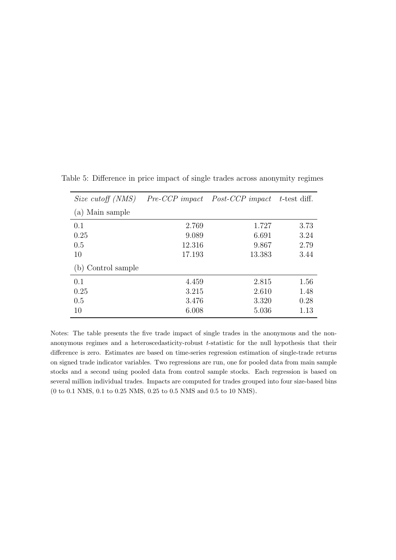<span id="page-48-0"></span>

| Size cutoff (NMS)  |        | <i>Pre-CCP impact Post-CCP impact t</i> -test diff. |      |
|--------------------|--------|-----------------------------------------------------|------|
| (a) Main sample    |        |                                                     |      |
| 0.1                | 2.769  | 1.727                                               | 3.73 |
| 0.25               | 9.089  | 6.691                                               | 3.24 |
| 0.5                | 12.316 | 9.867                                               | 2.79 |
| 10                 | 17.193 | 13.383                                              | 3.44 |
| (b) Control sample |        |                                                     |      |
| 0.1                | 4.459  | 2.815                                               | 1.56 |
| 0.25               | 3.215  | 2.610                                               | 1.48 |
| 0.5                | 3.476  | 3.320                                               | 0.28 |
| 10                 | 6.008  | 5.036                                               | 1.13 |

Table 5: Difference in price impact of single trades across anonymity regimes

Notes: The table presents the five trade impact of single trades in the anonymous and the nonanonymous regimes and a heteroscedasticity-robust t-statistic for the null hypothesis that their difference is zero. Estimates are based on time-series regression estimation of single-trade returns on signed trade indicator variables. Two regressions are run, one for pooled data from main sample stocks and a second using pooled data from control sample stocks. Each regression is based on several million individual trades. Impacts are computed for trades grouped into four size-based bins (0 to 0.1 NMS, 0.1 to 0.25 NMS, 0.25 to 0.5 NMS and 0.5 to 10 NMS).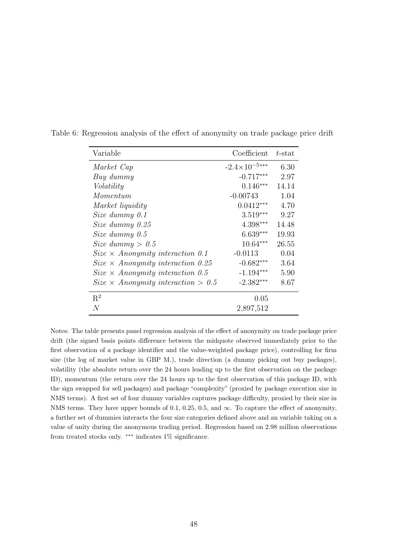<span id="page-49-0"></span>

| Variable                                  | Coefficient            | $t$ -stat |
|-------------------------------------------|------------------------|-----------|
| Market Cap                                | $-2.4\times10^{-5***}$ | 6.30      |
| Buy dummy                                 | $-0.717***$            | 2.97      |
| Volatility                                | $0.146***$             | 14.14     |
| Momentum                                  | $-0.00743$             | 1.04      |
| Market liquidity                          | $0.0412***$            | 4.70      |
| Size dummy $0.1$                          | $3.519***$             | 9.27      |
| Size dummy 0.25                           | 4.398***               | 14.48     |
| Size dummy $0.5$                          | $6.639***$             | 19.93     |
| Size dummy $> 0.5$                        | $10.64***$             | 26.55     |
| $Size \times$ Anonymity interaction 0.1   | $-0.0113$              | 0.04      |
| $Size \times$ Anonymity interaction 0.25  | $-0.682***$            | 3.64      |
| $Size \times$ Anonymity interaction 0.5   | $-1.194***$            | 5.90      |
| $Size \times Anonymity interaction > 0.5$ | $-2.382***$            | 8.67      |
| $\mathrm{R}^2$                            | 0.05                   |           |
| N                                         | 2,897,512              |           |

Table 6: Regression analysis of the effect of anonymity on trade package price drift

Notes: The table presents panel regression analysis of the effect of anonymity on trade package price drift (the signed basis points difference between the midquote observed immediately prior to the first observation of a package identifier and the value-weighted package price), controlling for firm size (the log of market value in GBP M.), trade direction (a dummy picking out buy packages), volatility (the absolute return over the 24 hours leading up to the first observation on the package ID), momentum (the return over the 24 hours up to the first observation of this package ID, with the sign swapped for sell packages) and package "complexity" (proxied by package execution size in NMS terms). A first set of four dummy variables captures package difficulty, proxied by their size in NMS terms. They have upper bounds of 0.1, 0.25, 0.5, and  $\infty$ . To capture the effect of anonymity, a further set of dummies interacts the four size categories defined above and an variable taking on a value of unity during the anonymous trading period. Regression based on 2.98 million observations from treated stocks only. ∗∗∗ indicates 1% significance.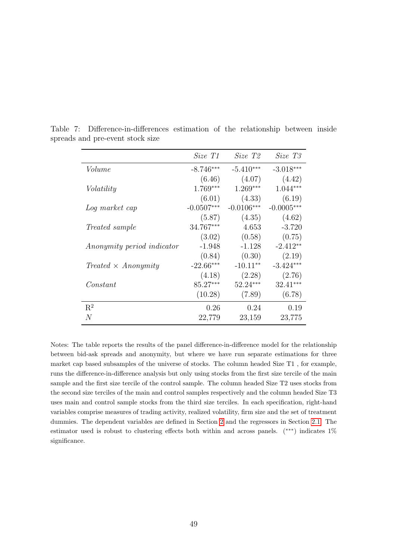<span id="page-50-0"></span>

|                            | Size T1      | Size T2      | Size T3      |
|----------------------------|--------------|--------------|--------------|
| Volume                     | $-8.746***$  | $-5.410***$  | $-3.018***$  |
|                            | (6.46)       | (4.07)       | (4.42)       |
| Volatility                 | $1.769***$   | $1.269***$   | $1.044***$   |
|                            | (6.01)       | (4.33)       | (6.19)       |
| Log market cap             | $-0.0507***$ | $-0.0106***$ | $-0.0005***$ |
|                            | (5.87)       | (4.35)       | (4.62)       |
| <i>Treated sample</i>      | 34.767***    | 4.653        | $-3.720$     |
|                            | (3.02)       | (0.58)       | (0.75)       |
| Anonymity period indicator | $-1.948$     | $-1.128$     | $-2.412**$   |
|                            | (0.84)       | (0.30)       | (2.19)       |
| $Treated \times Anonymity$ | $-22.66***$  | $-10.11**$   | $-3.424***$  |
|                            | (4.18)       | (2.28)       | (2.76)       |
| Constant                   | $85.27***$   | $52.24***$   | $32.41***$   |
|                            | (10.28)      | (7.89)       | (6.78)       |
| $\mathbf{R}^2$             | 0.26         | 0.24         | 0.19         |
| N                          | 22,779       | 23,159       | 23,775       |

Table 7: Difference-in-differences estimation of the relationship between inside spreads and pre-event stock size

Notes: The table reports the results of the panel difference-in-difference model for the relationship between bid-ask spreads and anonymity, but where we have run separate estimations for three market cap based subsamples of the universe of stocks. The column headed Size T1 , for example, runs the difference-in-difference analysis but only using stocks from the first size tercile of the main sample and the first size tercile of the control sample. The column headed Size T2 uses stocks from the second size terciles of the main and control samples respectively and the column headed Size T3 uses main and control sample stocks from the third size terciles. In each specification, right-hand variables comprise measures of trading activity, realized volatility, firm size and the set of treatment dummies. The dependent variables are defined in Section [2](#page-14-0) and the regressors in Section [2.1.](#page-14-1) The estimator used is robust to clustering effects both within and across panels. (∗∗∗) indicates 1% significance.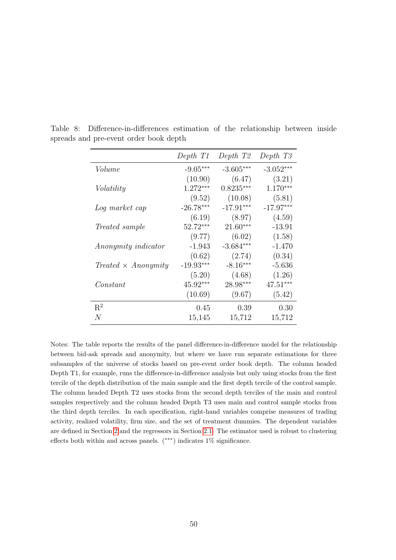<span id="page-51-0"></span>

|                            | Depth T1    | Depth T2    | Depth T <sub>3</sub> |
|----------------------------|-------------|-------------|----------------------|
| Volume                     | $-9.05***$  | $-3.605***$ | $-3.052***$          |
|                            | (10.90)     | (6.47)      | (3.21)               |
| Volatility                 | $1.272***$  | $0.8235***$ | $1.170***$           |
|                            | (9.52)      | (10.08)     | (5.81)               |
| Log market cap             | $-26.78***$ | $-17.91***$ | $-17.97***$          |
|                            | (6.19)      | (8.97)      | (4.59)               |
| <i>Treated sample</i>      | $52.72***$  | $21.60***$  | $-13.91$             |
|                            | (9.77)      | (6.02)      | (1.58)               |
| Anonymity indicator        | $-1.943$    | $-3.684***$ | $-1.470$             |
|                            | (0.62)      | (2.74)      | (0.34)               |
| $Treated \times Anonymity$ | $-19.93***$ | $-8.16***$  | $-5.636$             |
|                            | (5.20)      | (4.68)      | (1.26)               |
| Constant                   | $45.92***$  | 28.98***    | $47.51***$           |
|                            | (10.69)     | (9.67)      | (5.42)               |
| $R^2$                      | 0.45        | 0.39        | 0.30                 |
| N                          | 15,145      | 15,712      | 15,712               |

Table 8: Difference-in-differences estimation of the relationship between inside spreads and pre-event order book depth

Notes: The table reports the results of the panel difference-in-difference model for the relationship between bid-ask spreads and anonymity, but where we have run separate estimations for three subsamples of the universe of stocks based on pre-event order book depth. The column headed Depth T1, for example, runs the difference-in-difference analysis but only using stocks from the first tercile of the depth distribution of the main sample and the first depth tercile of the control sample. The column headed Depth T2 uses stocks from the second depth terciles of the main and control samples respectively and the column headed Depth T3 uses main and control sample stocks from the third depth terciles. In each specification, right-hand variables comprise measures of trading activity, realized volatility, firm size, and the set of treatment dummies. The dependent variables are defined in Section [2](#page-14-0) and the regressors in Section [2.1.](#page-14-1) The estimator used is robust to clustering effects both within and across panels.  $(**)$  indicates 1% significance.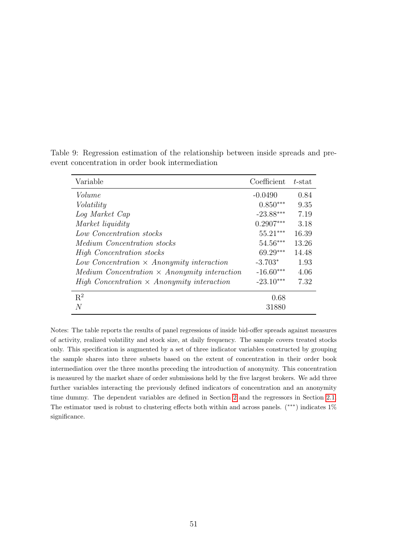<span id="page-52-0"></span>

| Variable                                                        | Coefficient | $t$ -stat |
|-----------------------------------------------------------------|-------------|-----------|
| Volume                                                          | $-0.0490$   | 0.84      |
| Volatility                                                      | $0.850***$  | 9.35      |
| Log Market Cap                                                  | $-23.88***$ | 7.19      |
| Market liquidity                                                | $0.2907***$ | 3.18      |
| Low Concentration stocks                                        | $55.21***$  | 16.39     |
| <i>Medium Concentration stocks</i>                              | $54.56***$  | 13.26     |
| High Concentration stocks                                       | $69.29***$  | 14.48     |
| Low Concentration $\times$ Anonymity interaction                | $-3.703*$   | 1.93      |
| $Median\ Concentration \times Anonymity\ interaction$           | $-16.60***$ | 4.06      |
| <i>High Concentration</i> $\times$ <i>Anonymity interaction</i> | $-23.10***$ | 7.32      |
| $R^2$                                                           | 0.68        |           |
| N                                                               | 31880       |           |

Table 9: Regression estimation of the relationship between inside spreads and preevent concentration in order book intermediation

Notes: The table reports the results of panel regressions of inside bid-offer spreads against measures of activity, realized volatility and stock size, at daily frequency. The sample covers treated stocks only. This specification is augmented by a set of three indicator variables constructed by grouping the sample shares into three subsets based on the extent of concentration in their order book intermediation over the three months preceding the introduction of anonymity. This concentration is measured by the market share of order submissions held by the five largest brokers. We add three further variables interacting the previously defined indicators of concentration and an anonymity time dummy. The dependent variables are defined in Section [2](#page-14-0) and the regressors in Section [2.1.](#page-14-1) The estimator used is robust to clustering effects both within and across panels. (∗∗∗) indicates 1% significance.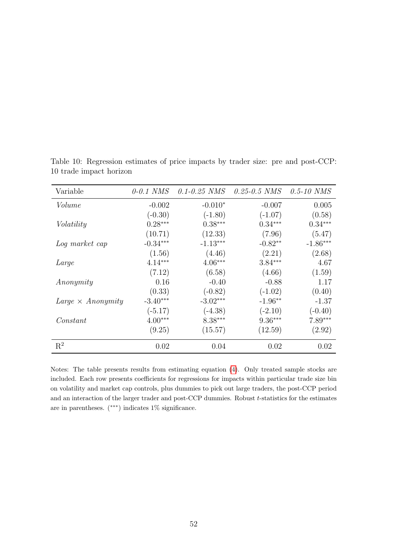| Variable                 | $0-0.1$ NMS | $0.1 - 0.25$ NMS | $0.25 - 0.5$ NMS | $0.5 - 10$ NMS |
|--------------------------|-------------|------------------|------------------|----------------|
| Volume                   | $-0.002$    | $-0.010*$        | $-0.007$         | 0.005          |
|                          | $(-0.30)$   | $(-1.80)$        | $(-1.07)$        | (0.58)         |
| Volatility               | $0.28***$   | $0.38***$        | $0.34***$        | $0.34***$      |
|                          | (10.71)     | (12.33)          | (7.96)           | (5.47)         |
| Log market cap           | $-0.34***$  | $-1.13***$       | $-0.82**$        | $-1.86***$     |
|                          | (1.56)      | (4.46)           | (2.21)           | (2.68)         |
| Large                    | $4.14***$   | $4.06***$        | $3.84***$        | 4.67           |
|                          | (7.12)      | (6.58)           | (4.66)           | (1.59)         |
| Anonymity                | 0.16        | $-0.40$          | $-0.88$          | 1.17           |
|                          | (0.33)      | $(-0.82)$        | $(-1.02)$        | (0.40)         |
| $Large \times Anonymity$ | $-3.40***$  | $-3.02***$       | $-1.96**$        | $-1.37$        |
|                          | $(-5.17)$   | $(-4.38)$        | $(-2.10)$        | $(-0.40)$      |
| Constant                 | $4.00***$   | $8.38***$        | $9.36***$        | $7.89***$      |
|                          | (9.25)      | (15.57)          | (12.59)          | (2.92)         |
| $R^2$                    | 0.02        | 0.04             | 0.02             | 0.02           |

<span id="page-53-0"></span>Table 10: Regression estimates of price impacts by trader size: pre and post-CCP: 10 trade impact horizon

Notes: The table presents results from estimating equation [\(4\)](#page-35-1). Only treated sample stocks are included. Each row presents coefficients for regressions for impacts within particular trade size bin on volatility and market cap controls, plus dummies to pick out large traders, the post-CCP period and an interaction of the larger trader and post-CCP dummies. Robust t-statistics for the estimates are in parentheses. (∗∗∗) indicates 1% significance.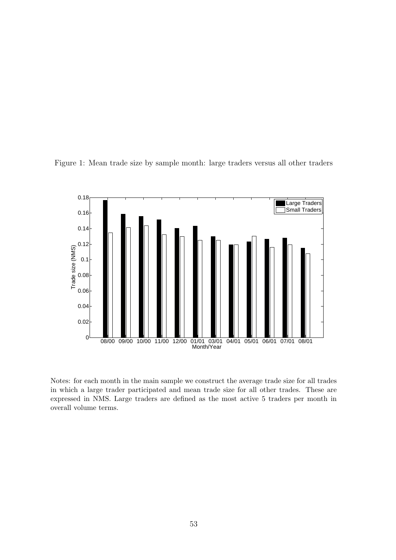

<span id="page-54-0"></span>Figure 1: Mean trade size by sample month: large traders versus all other traders

Notes: for each month in the main sample we construct the average trade size for all trades in which a large trader participated and mean trade size for all other trades. These are expressed in NMS. Large traders are defined as the most active 5 traders per month in overall volume terms.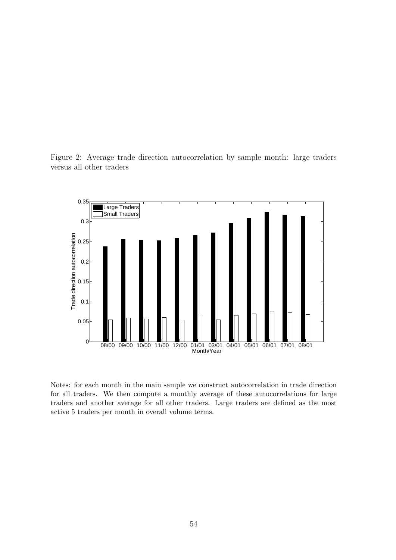<span id="page-55-0"></span>Figure 2: Average trade direction autocorrelation by sample month: large traders versus all other traders



Notes: for each month in the main sample we construct autocorrelation in trade direction for all traders. We then compute a monthly average of these autocorrelations for large traders and another average for all other traders. Large traders are defined as the most active 5 traders per month in overall volume terms.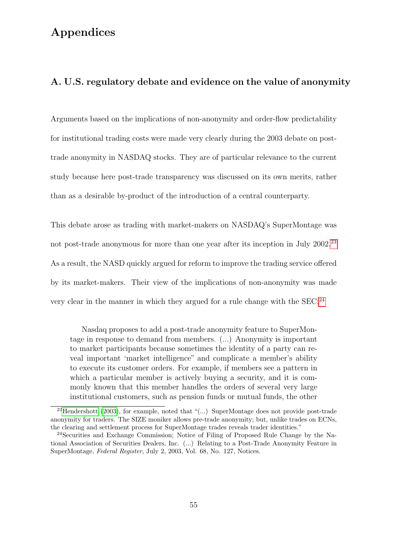## Appendices

#### A. U.S. regulatory debate and evidence on the value of anonymity

Arguments based on the implications of non-anonymity and order-flow predictability for institutional trading costs were made very clearly during the 2003 debate on posttrade anonymity in NASDAQ stocks. They are of particular relevance to the current study because here post-trade transparency was discussed on its own merits, rather than as a desirable by-product of the introduction of a central counterparty.

This debate arose as trading with market-makers on NASDAQ's SuperMontage was not post-trade anonymous for more than one year after its inception in July 2002.<sup>[23](#page-56-0)</sup> As a result, the NASD quickly argued for reform to improve the trading service offered by its market-makers. Their view of the implications of non-anonymity was made very clear in the manner in which they argued for a rule change with the SEC:<sup>[24](#page-56-1)</sup>

Nasdaq proposes to add a post-trade anonymity feature to SuperMontage in response to demand from members. (...) Anonymity is important to market participants because sometimes the identity of a party can reveal important 'market intelligence" and complicate a member's ability to execute its customer orders. For example, if members see a pattern in which a particular member is actively buying a security, and it is commonly known that this member handles the orders of several very large institutional customers, such as pension funds or mutual funds, the other

<span id="page-56-0"></span><sup>&</sup>lt;sup>23</sup>[Hendershott](#page-42-14) [\(2003\)](#page-42-14), for example, noted that "(...) SuperMontage does not provide post-trade anonymity for traders. The SIZE moniker allows pre-trade anonymity; but, unlike trades on ECNs, the clearing and settlement process for SuperMontage trades reveals trader identities."

<span id="page-56-1"></span><sup>24</sup>Securities and Exchange Commission; Notice of Filing of Proposed Rule Change by the National Association of Securities Dealers, Inc. (...) Relating to a Post-Trade Anonymity Feature in SuperMontage, Federal Register, July 2, 2003, Vol. 68, No. 127, Notices.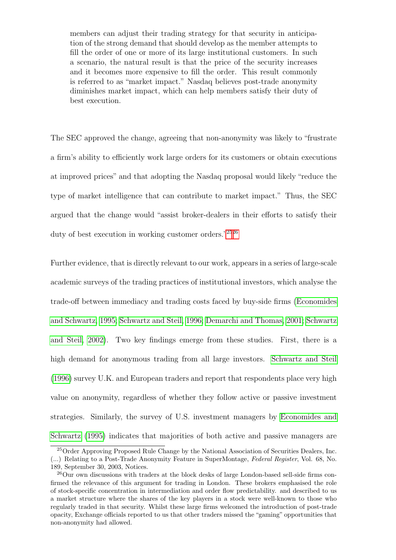members can adjust their trading strategy for that security in anticipation of the strong demand that should develop as the member attempts to fill the order of one or more of its large institutional customers. In such a scenario, the natural result is that the price of the security increases and it becomes more expensive to fill the order. This result commonly is referred to as "market impact." Nasdaq believes post-trade anonymity diminishes market impact, which can help members satisfy their duty of best execution.

The SEC approved the change, agreeing that non-anonymity was likely to "frustrate a firm's ability to efficiently work large orders for its customers or obtain executions at improved prices" and that adopting the Nasdaq proposal would likely "reduce the type of market intelligence that can contribute to market impact." Thus, the SEC argued that the change would "assist broker-dealers in their efforts to satisfy their duty of best execution in working customer orders."[25](#page-57-0)[26](#page-57-1)

Further evidence, that is directly relevant to our work, appears in a series of large-scale academic surveys of the trading practices of institutional investors, which analyse the trade-off between immediacy and trading costs faced by buy-side firms [\(Economides](#page-41-13) [and Schwartz, 1995;](#page-41-13) [Schwartz and Steil, 1996;](#page-43-6) [Demarchi and Thomas, 2001;](#page-41-14) [Schwartz](#page-43-7) [and Steil, 2002\)](#page-43-7). Two key findings emerge from these studies. First, there is a high demand for anonymous trading from all large investors. [Schwartz and Steil](#page-43-6) [\(1996\)](#page-43-6) survey U.K. and European traders and report that respondents place very high value on anonymity, regardless of whether they follow active or passive investment strategies. Similarly, the survey of U.S. investment managers by [Economides and](#page-41-13) [Schwartz](#page-41-13) [\(1995\)](#page-41-13) indicates that majorities of both active and passive managers are

<span id="page-57-0"></span><sup>&</sup>lt;sup>25</sup>Order Approving Proposed Rule Change by the National Association of Securities Dealers, Inc. (...) Relating to a Post-Trade Anonymity Feature in SuperMontage, Federal Register, Vol. 68, No. 189, September 30, 2003, Notices.

<span id="page-57-1"></span> $^{26}$ Our own discussions with traders at the block desks of large London-based sell-side firms confirmed the relevance of this argument for trading in London. These brokers emphasised the role of stock-specific concentration in intermediation and order flow predictability. and described to us a market structure where the shares of the key players in a stock were well-known to those who regularly traded in that security. Whilst these large firms welcomed the introduction of post-trade opacity, Exchange officials reported to us that other traders missed the "gaming" opportunities that non-anonymity had allowed.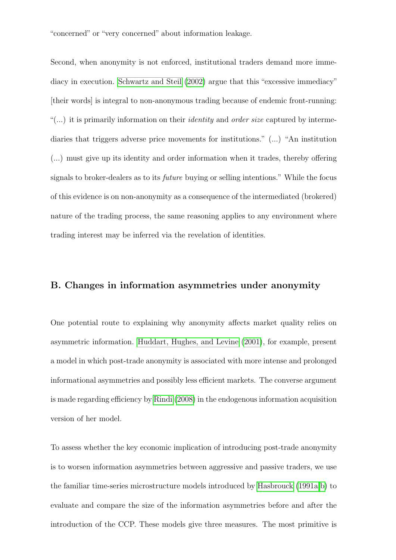"concerned" or "very concerned" about information leakage.

Second, when anonymity is not enforced, institutional traders demand more immediacy in execution. [Schwartz and Steil](#page-43-7) [\(2002\)](#page-43-7) argue that this "excessive immediacy" [their words] is integral to non-anonymous trading because of endemic front-running: "(...) it is primarily information on their *identity* and *order size* captured by intermediaries that triggers adverse price movements for institutions." (...) "An institution (...) must give up its identity and order information when it trades, thereby offering signals to broker-dealers as to its future buying or selling intentions." While the focus of this evidence is on non-anonymity as a consequence of the intermediated (brokered) nature of the trading process, the same reasoning applies to any environment where trading interest may be inferred via the revelation of identities.

#### B. Changes in information asymmetries under anonymity

One potential route to explaining why anonymity affects market quality relies on asymmetric information. [Huddart, Hughes, and Levine](#page-42-0) [\(2001\)](#page-42-0), for example, present a model in which post-trade anonymity is associated with more intense and prolonged informational asymmetries and possibly less efficient markets. The converse argument is made regarding efficiency by [Rindi](#page-42-1) [\(2008\)](#page-42-1) in the endogenous information acquisition version of her model.

To assess whether the key economic implication of introducing post-trade anonymity is to worsen information asymmetries between aggressive and passive traders, we use the familiar time-series microstructure models introduced by [Hasbrouck](#page-42-8) [\(1991a](#page-42-8)[,b\)](#page-42-9) to evaluate and compare the size of the information asymmetries before and after the introduction of the CCP. These models give three measures. The most primitive is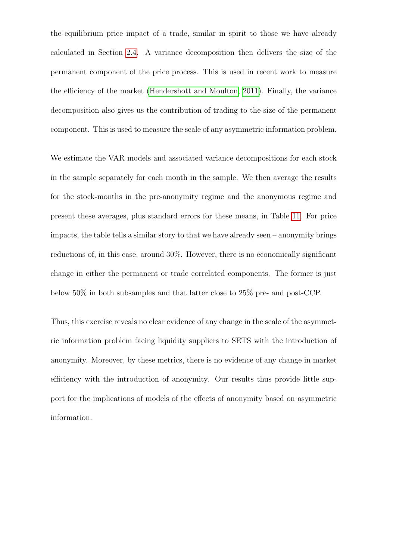the equilibrium price impact of a trade, similar in spirit to those we have already calculated in Section [2.4.](#page-21-0) A variance decomposition then delivers the size of the permanent component of the price process. This is used in recent work to measure the efficiency of the market [\(Hendershott and Moulton, 2011\)](#page-42-15). Finally, the variance decomposition also gives us the contribution of trading to the size of the permanent component. This is used to measure the scale of any asymmetric information problem.

We estimate the VAR models and associated variance decompositions for each stock in the sample separately for each month in the sample. We then average the results for the stock-months in the pre-anonymity regime and the anonymous regime and present these averages, plus standard errors for these means, in Table [11.](#page-60-0) For price impacts, the table tells a similar story to that we have already seen – anonymity brings reductions of, in this case, around 30%. However, there is no economically significant change in either the permanent or trade correlated components. The former is just below 50% in both subsamples and that latter close to 25% pre- and post-CCP.

Thus, this exercise reveals no clear evidence of any change in the scale of the asymmetric information problem facing liquidity suppliers to SETS with the introduction of anonymity. Moreover, by these metrics, there is no evidence of any change in market efficiency with the introduction of anonymity. Our results thus provide little support for the implications of models of the effects of anonymity based on asymmetric information.